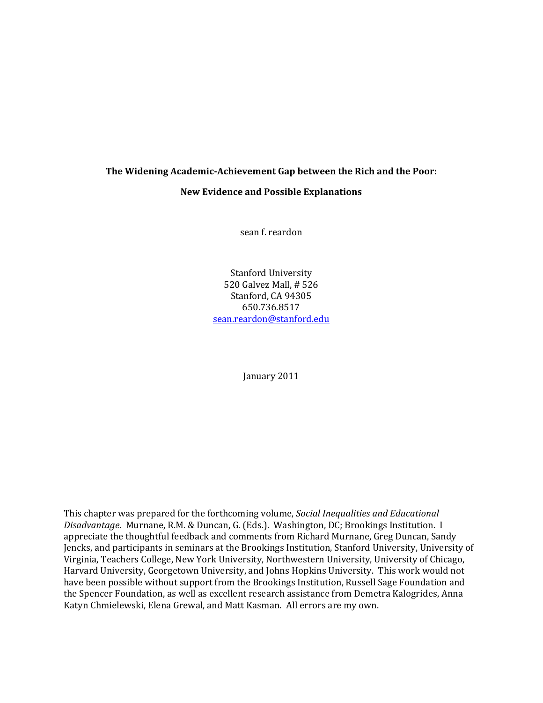# **The Widening AcademicAchievement Gap between the Rich and the Poor:**

# **New Evidence and Possible Explanations**

sean f. reardon

Stanford University 520 Galvez Mall, # 526 Stanford, CA 94305 650.736.8517 [sean.reardon@stanford.edu](mailto:sean.reardon@stanford.edu) 

January 2011

This chapter was prepared for the forthcoming volume, *Social Inequalities and Educational Disadvantage*. Murnane, R.M. & Duncan, G. (Eds.). Washington, DC; Brookings Institution. I appreciate the thoughtful feedback and comments from Richard Murnane, Greg Duncan, Sandy Jencks, and participants in seminars at the Brookings Institution, Stanford University, University of Virginia, Teachers College, New York University, Northwestern University, University of Chicago, Harvard University, Georgetown University, and Johns Hopkins University. This work would not have been possible without support from the Brookings Institution, Russell Sage Foundation and the Spencer Foundation, as well as excellent research assistance from Demetra Kalogrides, Anna Katyn Chmielewski, Elena Grewal, and Matt Kasman. All errors are my own.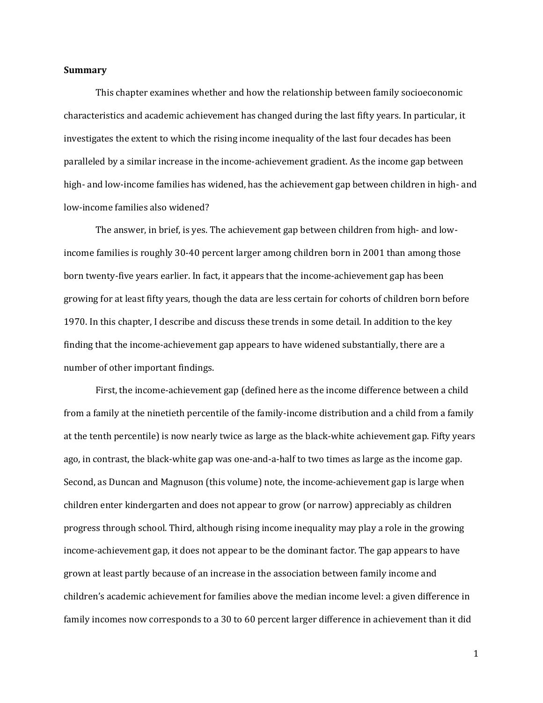#### **Summary**

This chapter examines whether and how the relationship between family socioeconomic characteristics and academic achievement has changed during the last fifty years. In particular, it investigates the extent to which the rising income inequality of the last four decades has been paralleled by a similar increase in the income‐achievement gradient. As the income gap between high- and low-income families has widened, has the achievement gap between children in high- and low‐income families also widened?

 The answer, in brief, is yes. The achievement gap between children from high‐ and low‐ income families is roughly 30‐40 percent larger among children born in 2001 than among those born twenty‐five years earlier. In fact, it appears that the income‐achievement gap has been growing for at least fifty years, though the data are less certain for cohorts of children born before 1970. In this chapter, I describe and discuss these trends in some detail. In addition to the key finding that the income‐achievement gap appears to have widened substantially, there are a number of other important findings.

First, the income-achievement gap (defined here as the income difference between a child from a family at the ninetieth percentile of the family-income distribution and a child from a family at the tenth percentile) is now nearly twice as large as the black‐white achievement gap. Fifty years ago, in contrast, the black‐white gap was one‐and‐a‐half to two times as large as the income gap. Second, as Duncan and Magnuson (this volume) note, the income‐achievement gap is large when children enter kindergarten and does not appear to grow (or narrow) appreciably as children progress through school. Third, although rising income inequality may play a role in the growing income-achievement gap, it does not appear to be the dominant factor. The gap appears to have grown at least partly because of an increase in the association between family income and children's academic achievement for families above the median income level: a given difference in family incomes now corresponds to a 30 to 60 percent larger difference in achievement than it did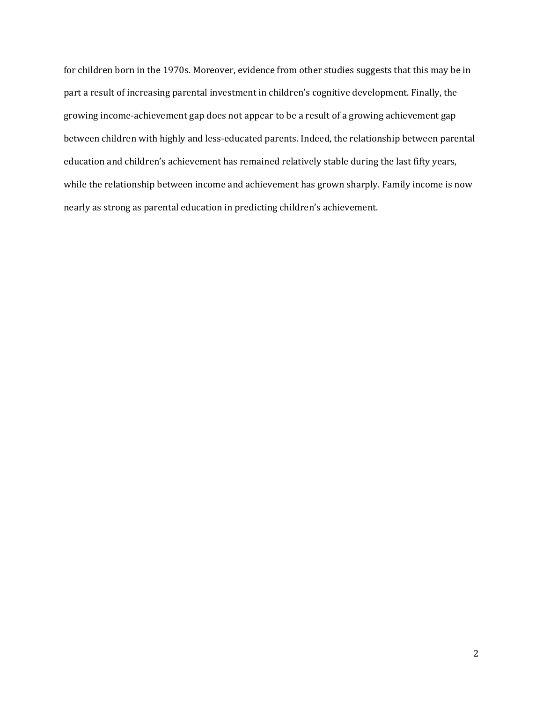for children born in the 1970s. Moreover, evidence from other studies suggests that this may be in part a result of increasing parental investment in children's cognitive development. Finally, the growing income‐achievement gap does not appear to be a result of a growing achievement gap between children with highly and less-educated parents. Indeed, the relationship between parental education and children's achievement has remained relatively stable during the last fifty years, while the relationship between income and achievement has grown sharply. Family income is now nearly as strong as parental education in predicting children's achievement.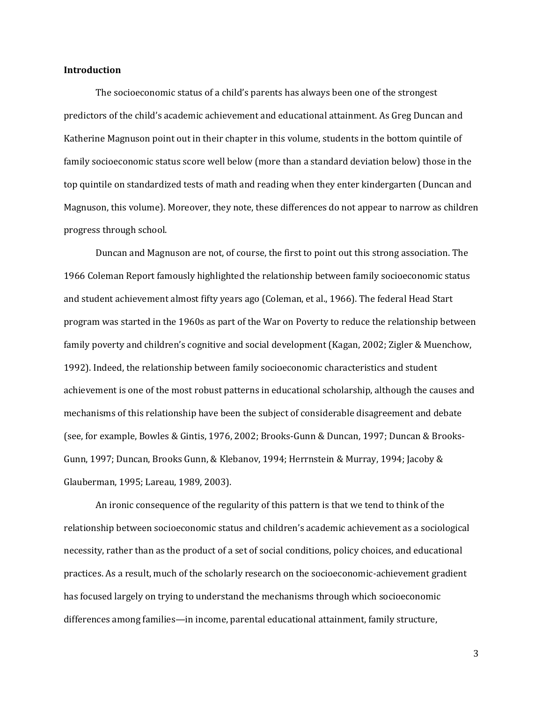#### **Introduction**

The socioeconomic status of a child's parents has always been one of the strongest predictors of the child's academic achievement and educational attainment. As Greg Duncan and Katherine Magnuson point out in their chapter in this volume, students in the bottom quintile of family socioeconomic status score well below (more than a standard deviation below) those in the top quintile on standardized tests of math and reading when they enter kindergarten (Duncan and Magnuson, this volume). Moreover, they note, these differences do not appear to narrow as children progress through school.

Duncan and Magnuson are not, of course, the first to point out this strong association. The 1966 Coleman Report famously highlighted the relationship between family socioeconomic status and student achievement almost fifty years ago (Coleman, et al., 1966). The federal Head Start program was started in the 1960s as part of the War on Poverty to reduce the relationship between family poverty and children's cognitive and social development (Kagan, 2002; Zigler & Muenchow, 1992). Indeed, the relationship between family socioeconomic characteristics and student achievement is one of the most robust patterns in educational scholarship, although the causes and mechanisms of this relationship have been the subject of considerable disagreement and debate (see, for example, Bowles & Gintis, 1976, 2002; Brooks‐Gunn & Duncan, 1997; Duncan & Brooks‐ Gunn, 1997; Duncan, Brooks Gunn, & Klebanov, 1994; Herrnstein & Murray, 1994; Jacoby & Glauberman, 1995; Lareau, 1989, 2003).

An ironic consequence of the regularity of this pattern is that we tend to think of the relationship between socioeconomic status and children's academic achievement as a sociological necessity, rather than as the product of a set of social conditions, policy choices, and educational practices. As a result, much of the scholarly research on the socioeconomic‐achievement gradient has focused largely on trying to understand the mechanisms through which socioeconomic differences among families—in income, parental educational attainment, family structure,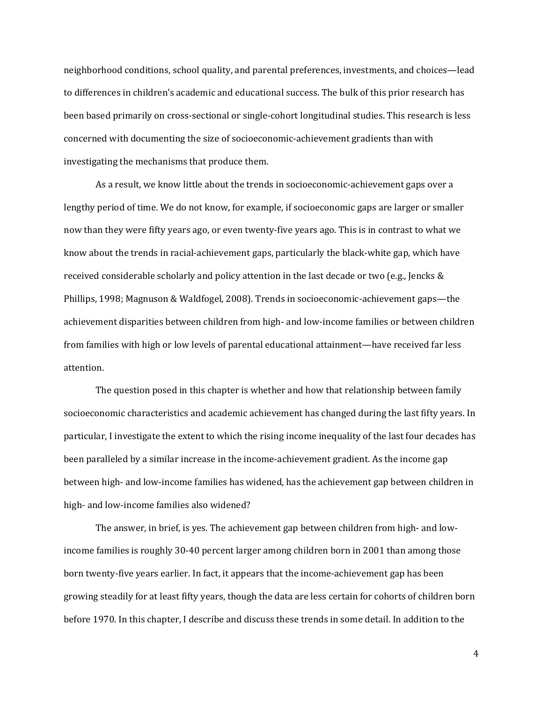neighborhood conditions, school quality, and parental preferences, investments, and choices—lead to differences in children's academic and educational success. The bulk of this prior research has been based primarily on cross‐sectional or single‐cohort longitudinal studies. This research is less concerned with documenting the size of socioeconomic‐achievement gradients than with investigating the mechanisms that produce them.

As a result, we know little about the trends in socioeconomic‐achievement gaps over a lengthy period of time. We do not know, for example, if socioeconomic gaps are larger or smaller now than they were fifty years ago, or even twenty‐five years ago. This is in contrast to what we know about the trends in racial-achievement gaps, particularly the black-white gap, which have received considerable scholarly and policy attention in the last decade or two (e.g., Jencks & Phillips, 1998; Magnuson & Waldfogel, 2008). Trends in socioeconomic‐achievement gaps—the achievement disparities between children from high‐ and low‐income families or between children from families with high or low levels of parental educational attainment—have received far less attention.

The question posed in this chapter is whether and how that relationship between family socioeconomic characteristics and academic achievement has changed during the last fifty years. In particular, I investigate the extent to which the rising income inequality of the last four decades has been paralleled by a similar increase in the income-achievement gradient. As the income gap between high- and low-income families has widened, has the achievement gap between children in high- and low-income families also widened?

The answer, in brief, is yes. The achievement gap between children from high- and lowincome families is roughly 30‐40 percent larger among children born in 2001 than among those born twenty-five years earlier. In fact, it appears that the income-achievement gap has been growing steadily for at least fifty years, though the data are less certain for cohorts of children born before 1970. In this chapter, I describe and discuss these trends in some detail. In addition to the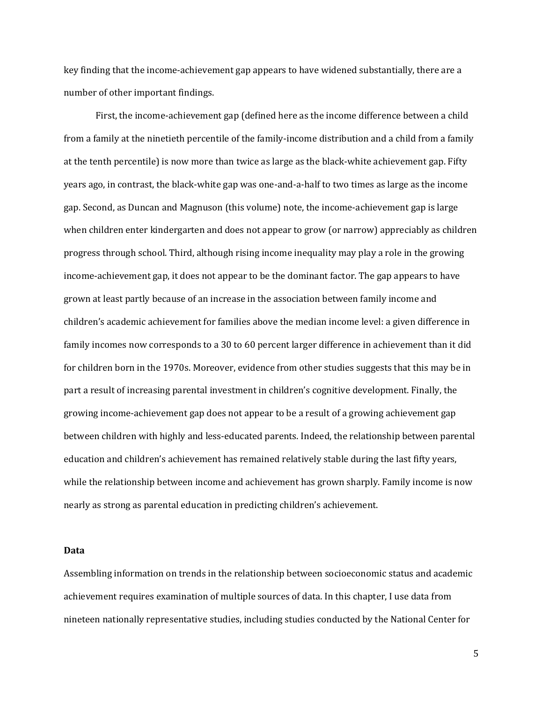key finding that the income‐achievement gap appears to have widened substantially, there are a number of other important findings.

 First, the income‐achievement gap (defined here as the income difference between a child from a family at the ninetieth percentile of the family-income distribution and a child from a family at the tenth percentile) is now more than twice as large as the black‐white achievement gap. Fifty years ago, in contrast, the black‐white gap was one‐and‐a‐half to two times as large as the income gap. Second, as Duncan and Magnuson (this volume) note, the income‐achievement gap is large when children enter kindergarten and does not appear to grow (or narrow) appreciably as children progress through school. Third, although rising income inequality may play a role in the growing income‐achievement gap, it does not appear to be the dominant factor. The gap appears to have grown at least partly because of an increase in the association between family income and children's academic achievement for families above the median income level: a given difference in family incomes now corresponds to a 30 to 60 percent larger difference in achievement than it did for children born in the 1970s. Moreover, evidence from other studies suggests that this may be in part a result of increasing parental investment in children's cognitive development. Finally, the growing income‐achievement gap does not appear to be a result of a growing achievement gap between children with highly and less‐educated parents. Indeed, the relationship between parental education and children's achievement has remained relatively stable during the last fifty years, while the relationship between income and achievement has grown sharply. Family income is now nearly as strong as parental education in predicting children's achievement.

#### **Data**

Assembling information on trends in the relationship between socioeconomic status and academic achievement requires examination of multiple sources of data. In this chapter, I use data from nineteen nationally representative studies, including studies conducted by the National Center for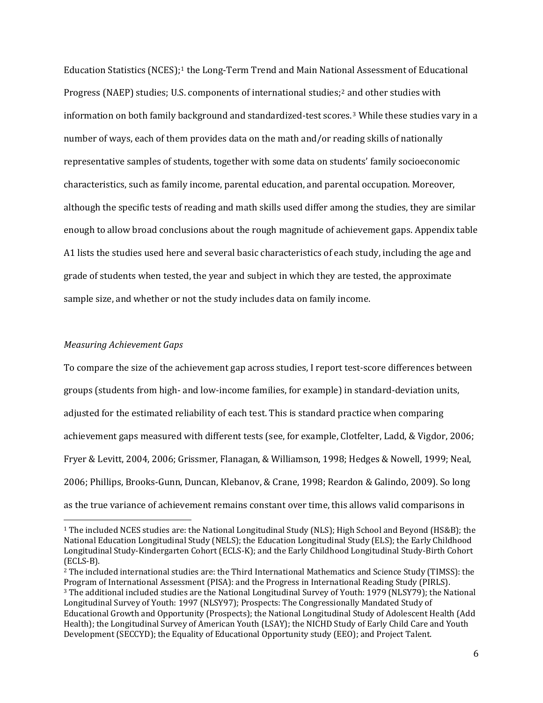Education Statistics (NCES);<sup>[1](#page-6-0)</sup> the Long-Term Trend and Main National Assessment of Educational Progress (NAEP) studies; U.S. components of international studies;<sup>[2](#page-6-1)</sup> and other studies with information on both family background and standardized-test scores.<sup>[3](#page-6-2)</sup> While these studies vary in a number of ways, each of them provides data on the math and/or reading skills of nationally representative samples of students, together with some data on students' family socioeconomic characteristics, such as family income, parental education, and parental occupation. Moreover, although the specific tests of reading and math skills used differ among the studies, they are similar enough to allow broad conclusions about the rough magnitude of achievement gaps. Appendix table A1 lists the studies used here and several basic characteristics of each study, including the age and grade of students when tested, the year and subject in which they are tested, the approximate sample size, and whether or not the study includes data on family income.

# *Measuring Achievement Gaps*

To compare the size of the achievement gap across studies, I report test‐score differences between groups (students from high‐ and low‐income families, for example) in standard‐deviation units, adjusted for the estimated reliability of each test. This is standard practice when comparing achievement gaps measured with different tests (see, for example, Clotfelter, Ladd, & Vigdor, 2006; Fryer & Levitt, 2004, 2006; Grissmer, Flanagan, & Williamson, 1998; Hedges & Nowell, 1999; Neal, 2006; Phillips, Brooks‐Gunn, Duncan, Klebanov, & Crane, 1998; Reardon & Galindo, 2009). So long as the true variance of achievement remains constant over time, this allows valid comparisons in

<span id="page-6-0"></span><sup>1</sup> The included NCES studies are: the National Longitudinal Study (NLS); High School and Beyond (HS&B); the National Education Longitudinal Study (NELS); the Education Longitudinal Study (ELS); the Early Childhood Longitudinal Study‐Kindergarten Cohort (ECLS‐K); and the Early Childhood Longitudinal Study‐Birth Cohort (ECLS‐B).

<span id="page-6-2"></span><span id="page-6-1"></span><sup>2</sup> The included international studies are: the Third International Mathematics and Science Study (TIMSS): the Program of International Assessment (PISA): and the Progress in International Reading Study (PIRLS). 3 The additional included studies are the National Longitudinal Survey of Youth: 1979 (NLSY79); the National Longitudinal Survey of Youth: 1997 (NLSY97); Prospects: The Congressionally Mandated Study of Educational Growth and Opportunity (Prospects); the National Longitudinal Study of Adolescent Health (Add Health); the Longitudinal Survey of American Youth (LSAY); the NICHD Study of Early Child Care and Youth Development (SECCYD); the Equality of Educational Opportunity study (EEO); and Project Talent.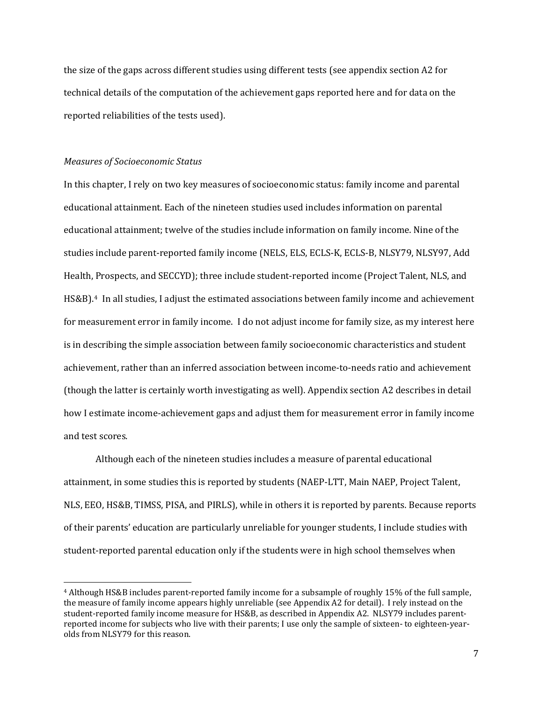the size of the gaps across different studies using different tests (see appendix section A2 for technical details of the computation of the achievement gaps reported here and for data on the reported reliabilities of the tests used).

#### *Measures of Socioeconomic Status*

In this chapter, I rely on two key measures of socioeconomic status: family income and parental educational attainment. Each of the nineteen studies used includes information on parental educational attainment; twelve of the studies include information on family income. Nine of the studies include parent‐reported family income (NELS, ELS, ECLS‐K, ECLS‐B, NLSY79, NLSY97, Add Health, Prospects, and SECCYD); three include student‐reported income (Project Talent, NLS, and HS&B).[4](#page-7-0) In all studies, I adjust the estimated associations between family income and achievement for measurement error in family income. I do not adjust income for family size, as my interest here is in describing the simple association between family socioeconomic characteristics and student achievement, rather than an inferred association between income‐to‐needs ratio and achievement (though the latter is certainly worth investigating as well). Appendix section A2 describes in detail how I estimate income-achievement gaps and adjust them for measurement error in family income and test scores.

Although each of the nineteen studies includes a measure of parental educational attainment, in some studies this is reported by students (NAEP‐LTT, Main NAEP, Project Talent, NLS, EEO, HS&B, TIMSS, PISA, and PIRLS), while in others it is reported by parents. Because reports of their parents' education are particularly unreliable for younger students, I include studies with student-reported parental education only if the students were in high school themselves when

<span id="page-7-0"></span><sup>4</sup> Although HS&B includes parent‐reported family income for a subsample of roughly 15% of the full sample, the measure of family income appears highly unreliable (see Appendix A2 for detail). I rely instead on the student-reported family income measure for HS&B, as described in Appendix A2. NLSY79 includes parentreported income for subjects who live with their parents; I use only the sample of sixteen‐ to eighteen‐year‐ olds from NLSY79 for this reason.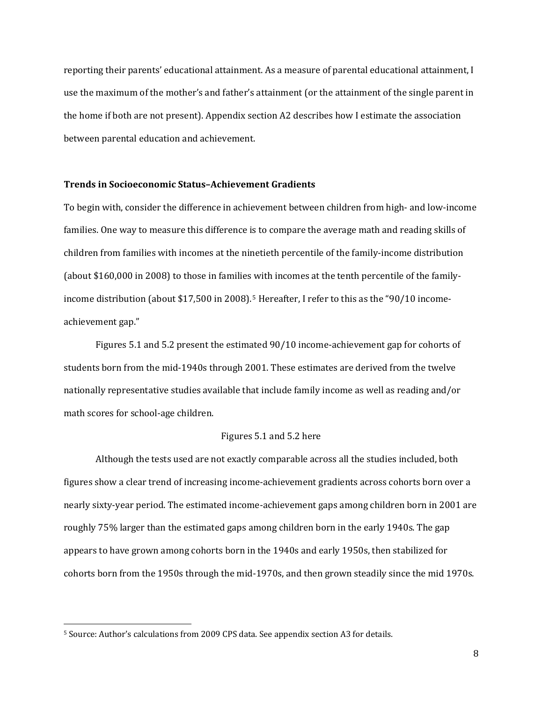reporting their parents' educational attainment. As a measure of parental educational attainment, I use the maximum of the mother's and father's attainment (or the attainment of the single parent in the home if both are not present). Appendix section A2 describes how I estimate the association between parental education and achievement.

#### **Trends in Socioeconomic Status–Achievement Gradients**

To begin with, consider the difference in achievement between children from high- and low-income families. One way to measure this difference is to compare the average math and reading skills of children from families with incomes at the ninetieth percentile of the family‐income distribution (about \$160,000 in 2008) to those in families with incomes at the tenth percentile of the family‐ income distribution (about \$17,[5](#page-8-0)00 in 2008).<sup>5</sup> Hereafter, I refer to this as the "90/10 incomeachievement gap."

 Figures 5.1 and 5.2 present the estimated 90/10 income‐achievement gap for cohorts of students born from the mid‐1940s through 2001. These estimates are derived from the twelve nationally representative studies available that include family income as well as reading and/or math scores for school-age children.

#### Figures 5.1 and 5.2 here

Although the tests used are not exactly comparable across all the studies included, both figures show a clear trend of increasing income‐achievement gradients across cohorts born over a nearly sixty‐year period. The estimated income‐achievement gaps among children born in 2001 are roughly 75% larger than the estimated gaps among children born in the early 1940s. The gap appears to have grown among cohorts born in the 1940s and early 1950s, then stabilized for cohorts born from the 1950s through the mid‐1970s, and then grown steadily since the mid 1970s.

<span id="page-8-0"></span><sup>5</sup> Source: Author's calculations from 2009 CPS data. See appendix section A3 for details.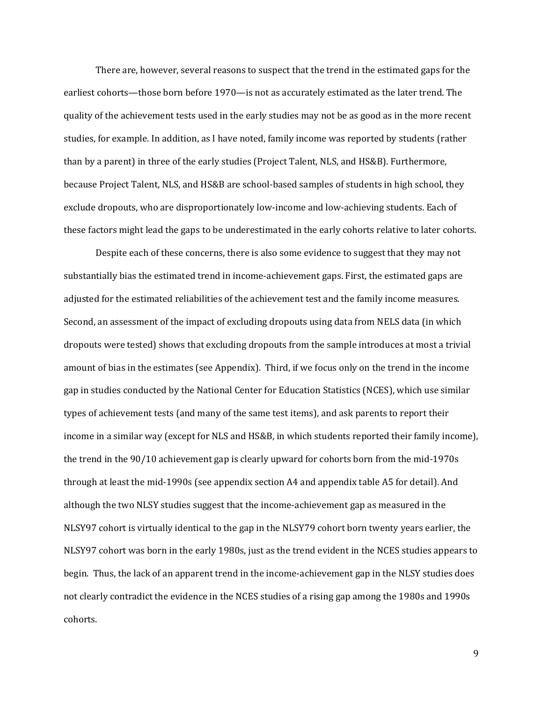There are, however, several reasons to suspect that the trend in the estimated gaps for the earliest cohorts—those born before 1970—is not as accurately estimated as the later trend. The quality of the achievement tests used in the early studies may not be as good as in the more recent studies, for example. In addition, as I have noted, family income was reported by students (rather than by a parent) in three of the early studies (Project Talent, NLS, and HS&B). Furthermore, because Project Talent, NLS, and HS&B are school‐based samples of students in high school, they exclude dropouts, who are disproportionately low‐income and low‐achieving students. Each of these factors might lead the gaps to be underestimated in the early cohorts relative to later cohorts.

Despite each of these concerns, there is also some evidence to suggest that they may not substantially bias the estimated trend in income‐achievement gaps. First, the estimated gaps are adjusted for the estimated reliabilities of the achievement test and the family income measures. Second, an assessment of the impact of excluding dropouts using data from NELS data (in which dropouts were tested) shows that excluding dropouts from the sample introduces at most a trivial amount of bias in the estimates (see Appendix). Third, if we focus only on the trend in the income gap in studies conducted by the National Center for Education Statistics (NCES), which use similar types of achievement tests (and many of the same test items), and ask parents to report their income in a similar way (except for NLS and HS&B, in which students reported their family income), the trend in the 90/10 achievement gap is clearly upward for cohorts born from the mid‐1970s through at least the mid‐1990s (see appendix section A4 and appendix table A5 for detail). And although the two NLSY studies suggest that the income‐achievement gap as measured in the NLSY97 cohort is virtually identical to the gap in the NLSY79 cohort born twenty years earlier, the NLSY97 cohort was born in the early 1980s, just as the trend evident in the NCES studies appears to begin. Thus, the lack of an apparent trend in the income‐achievement gap in the NLSY studies does not clearly contradict the evidence in the NCES studies of a rising gap among the 1980s and 1990s cohorts.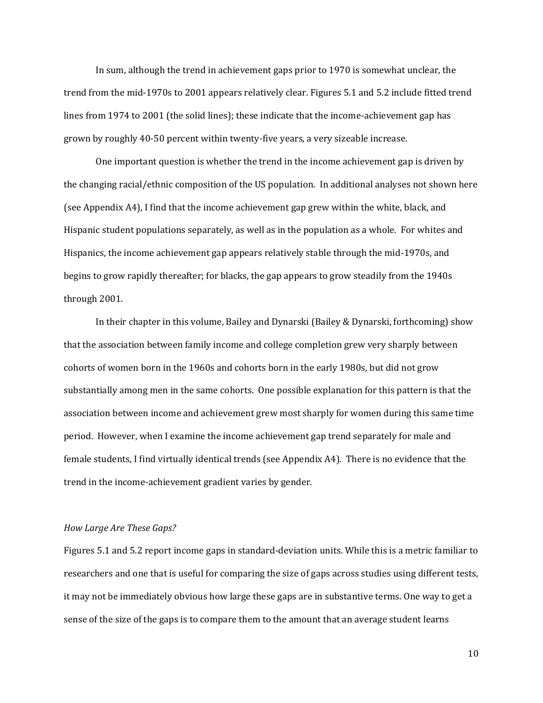In sum, although the trend in achievement gaps prior to 1970 is somewhat unclear, the trend from the mid‐1970s to 2001 appears relatively clear. Figures 5.1 and 5.2 include fitted trend lines from 1974 to 2001 (the solid lines); these indicate that the income-achievement gap has grown by roughly 40‐50 percent within twenty‐five years, a very sizeable increase.

One important question is whether the trend in the income achievement gap is driven by the changing racial/ethnic composition of the US population. In additional analyses not shown here (see Appendix A4), I find that the income achievement gap grew within the white, black, and Hispanic student populations separately, as well as in the population as a whole. For whites and Hispanics, the income achievement gap appears relatively stable through the mid‐1970s, and begins to grow rapidly thereafter; for blacks, the gap appears to grow steadily from the 1940s through 2001.

In their chapter in this volume, Bailey and Dynarski (Bailey & Dynarski, forthcoming) show that the association between family income and college completion grew very sharply between cohorts of women born in the 1960s and cohorts born in the early 1980s, but did not grow substantially among men in the same cohorts. One possible explanation for this pattern is that the association between income and achievement grew most sharply for women during this same time period. However, when I examine the income achievement gap trend separately for male and female students, I find virtually identical trends (see Appendix A4). There is no evidence that the trend in the income‐achievement gradient varies by gender.

## *How Large Are These Gaps?*

Figures 5.1 and 5.2 report income gaps in standard‐deviation units. While this is a metric familiar to researchers and one that is useful for comparing the size of gaps across studies using different tests, it may not be immediately obvious how large these gaps are in substantive terms. One way to get a sense of the size of the gaps is to compare them to the amount that an average student learns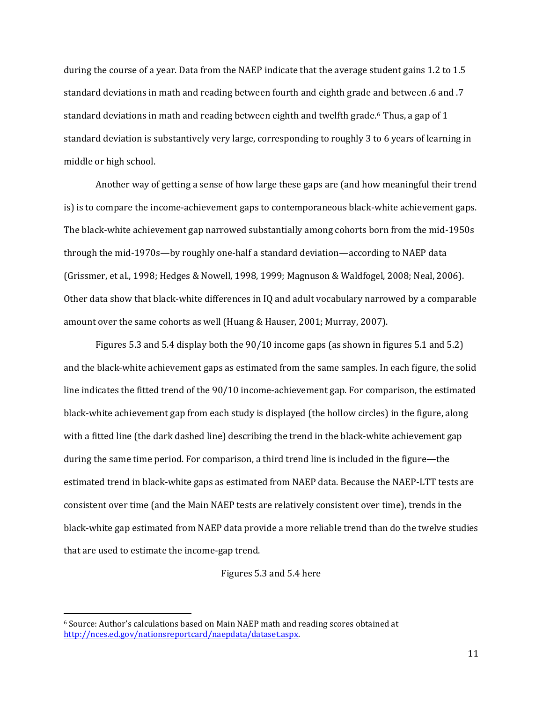during the course of a year. Data from the NAEP indicate that the average student gains 1.2 to 1.5 standard deviations in math and reading between fourth and eighth grade and between .6 and .7 standard deviations in math and reading between eighth and twelfth grade.[6](#page-11-0) Thus, a gap of 1 standard deviation is substantively very large, corresponding to roughly 3 to 6 years of learning in middle or high school.

Another way of getting a sense of how large these gaps are (and how meaningful their trend is) is to compare the income‐achievement gaps to contemporaneous black‐white achievement gaps. The black‐white achievement gap narrowed substantially among cohorts born from the mid‐1950s through the mid‐1970s—by roughly one‐half a standard deviation—according to NAEP data (Grissmer, et al., 1998; Hedges & Nowell, 1998, 1999; Magnuson & Waldfogel, 2008; Neal, 2006). Other data show that black‐white differences in IQ and adult vocabulary narrowed by a comparable amount over the same cohorts as well (Huang & Hauser, 2001; Murray, 2007).

Figures 5.3 and 5.4 display both the 90/10 income gaps (as shown in figures 5.1 and 5.2) and the black‐white achievement gaps as estimated from the same samples. In each figure, the solid line indicates the fitted trend of the 90/10 income‐achievement gap. For comparison, the estimated black‐white achievement gap from each study is displayed (the hollow circles) in the figure, along with a fitted line (the dark dashed line) describing the trend in the black-white achievement gap during the same time period. For comparison, a third trend line is included in the figure—the estimated trend in black‐white gaps as estimated from NAEP data. Because the NAEP‐LTT tests are consistent over time (and the Main NAEP tests are relatively consistent over time), trends in the black‐white gap estimated from NAEP data provide a more reliable trend than do the twelve studies that are used to estimate the income‐gap trend.

## Figures 5.3 and 5.4 here

<span id="page-11-0"></span><sup>6</sup> Source: Author's calculations based on Main NAEP math and reading scores obtained at [http://nces.ed.gov/nationsreportcard/naepdata/dataset.aspx.](http://nces.ed.gov/nationsreportcard/naepdata/dataset.aspx)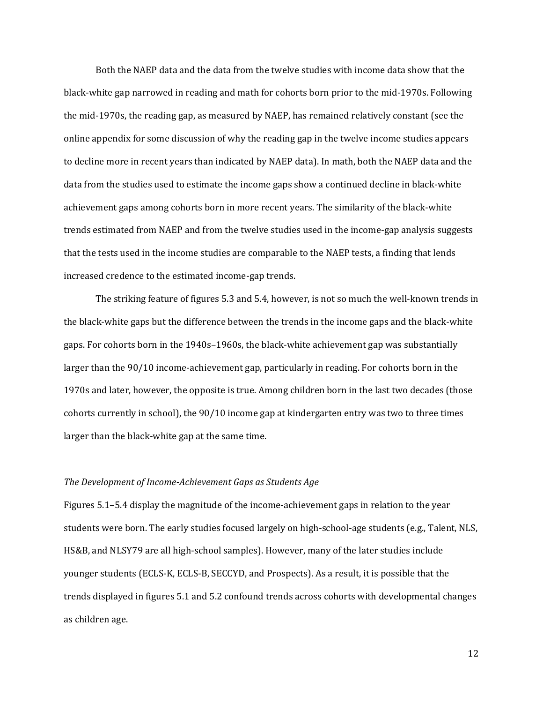Both the NAEP data and the data from the twelve studies with income data show that the black‐white gap narrowed in reading and math for cohorts born prior to the mid‐1970s. Following the mid‐1970s, the reading gap, as measured by NAEP, has remained relatively constant (see the online appendix for some discussion of why the reading gap in the twelve income studies appears to decline more in recent years than indicated by NAEP data). In math, both the NAEP data and the data from the studies used to estimate the income gaps show a continued decline in black‐white achievement gaps among cohorts born in more recent years. The similarity of the black‐white trends estimated from NAEP and from the twelve studies used in the income‐gap analysis suggests that the tests used in the income studies are comparable to the NAEP tests, a finding that lends increased credence to the estimated income‐gap trends.

The striking feature of figures 5.3 and 5.4, however, is not so much the well-known trends in the black‐white gaps but the difference between the trends in the income gaps and the black‐white gaps. For cohorts born in the 1940s–1960s, the black‐white achievement gap was substantially larger than the 90/10 income-achievement gap, particularly in reading. For cohorts born in the 1970s and later, however, the opposite is true. Among children born in the last two decades (those cohorts currently in school), the 90/10 income gap at kindergarten entry was two to three times larger than the black‐white gap at the same time.

### *The Development of IncomeAchievement Gaps as Students Age*

Figures 5.1–5.4 display the magnitude of the income‐achievement gaps in relation to the year students were born. The early studies focused largely on high-school-age students (e.g., Talent, NLS, HS&B, and NLSY79 are all high‐school samples). However, many of the later studies include younger students (ECLS‐K, ECLS‐B, SECCYD, and Prospects). As a result, it is possible that the trends displayed in figures 5.1 and 5.2 confound trends across cohorts with developmental changes as children age.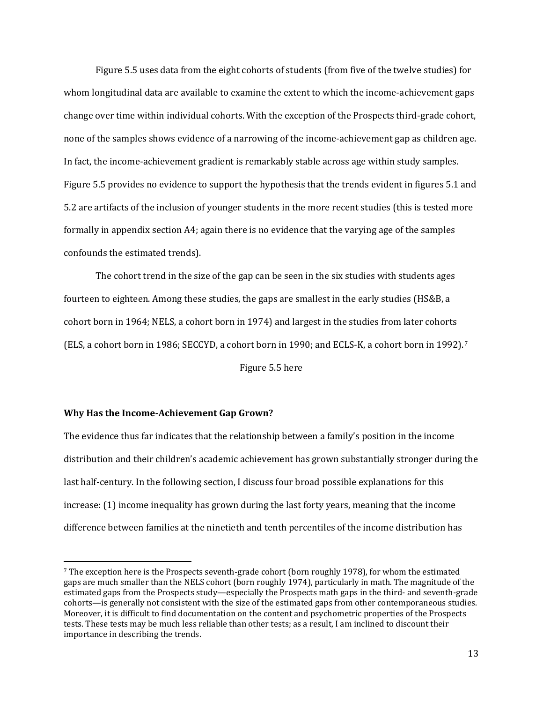Figure 5.5 uses data from the eight cohorts of students (from five of the twelve studies) for whom longitudinal data are available to examine the extent to which the income-achievement gaps change over time within individual cohorts. With the exception of the Prospects third‐grade cohort, none of the samples shows evidence of a narrowing of the income‐achievement gap as children age. In fact, the income-achievement gradient is remarkably stable across age within study samples. Figure 5.5 provides no evidence to support the hypothesis that the trends evident in figures 5.1 and 5.2 are artifacts of the inclusion of younger students in the more recent studies (this is tested more formally in appendix section A4; again there is no evidence that the varying age of the samples confounds the estimated trends).

The cohort trend in the size of the gap can be seen in the six studies with students ages fourteen to eighteen. Among these studies, the gaps are smallest in the early studies (HS&B, a cohort born in 1964; NELS, a cohort born in 1974) and largest in the studies from later cohorts (ELS, a cohort born in 1986; SECCYD, a cohort born in 1990; and ECLS‐K, a cohort born in 1992). [7](#page-13-0)

Figure 5.5 here

#### **Why Has the IncomeAchievement Gap Grown?**

The evidence thus far indicates that the relationship between a family's position in the income distribution and their children's academic achievement has grown substantially stronger during the last half-century. In the following section, I discuss four broad possible explanations for this increase: (1) income inequality has grown during the last forty years, meaning that the income difference between families at the ninetieth and tenth percentiles of the income distribution has

<span id="page-13-0"></span><sup>7</sup> The exception here is the Prospects seventh‐grade cohort (born roughly 1978), for whom the estimated gaps are much smaller than the NELS cohort (born roughly 1974), particularly in math. The magnitude of the estimated gaps from the Prospects study—especially the Prospects math gaps in the third‐ and seventh‐grade cohorts—is generally not consistent with the size of the estimated gaps from other contemporaneous studies. Moreover, it is difficult to find documentation on the content and psychometric properties of the Prospects tests. These tests may be much less reliable than other tests; as a result, I am inclined to discount their importance in describing the trends.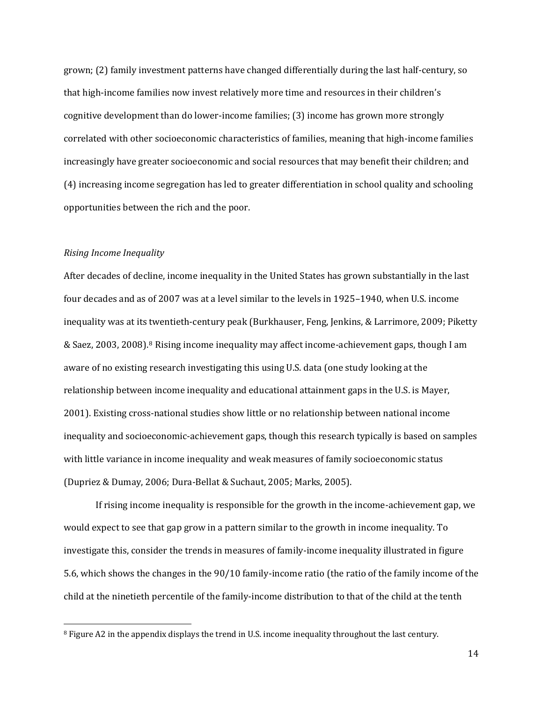grown; (2) family investment patterns have changed differentially during the last half‐century, so that high-income families now invest relatively more time and resources in their children's cognitive development than do lower‐income families; (3) income has grown more strongly correlated with other socioeconomic characteristics of families, meaning that high‐income families increasingly have greater socioeconomic and social resources that may benefit their children; and (4) increasing income segregation has led to greater differentiation in school quality and schooling opportunities between the rich and the poor.

## *Rising Income Inequality*

After decades of decline, income inequality in the United States has grown substantially in the last four decades and as of 2007 was at a level similar to the levels in 1925–1940, when U.S. income inequality was at its twentieth-century peak (Burkhauser, Feng, Jenkins, & Larrimore, 2009; Piketty & Saez, 2003, 2008).[8](#page-14-0) Rising income inequality may affect income‐achievement gaps, though I am aware of no existing research investigating this using U.S. data (one study looking at the relationship between income inequality and educational attainment gaps in the U.S. is Mayer, 2001). Existing cross‐national studies show little or no relationship between national income inequality and socioeconomic‐achievement gaps, though this research typically is based on samples with little variance in income inequality and weak measures of family socioeconomic status (Dupriez & Dumay, 2006; Dura‐Bellat & Suchaut, 2005; Marks, 2005).

If rising income inequality is responsible for the growth in the income‐achievement gap, we would expect to see that gap grow in a pattern similar to the growth in income inequality. To investigate this, consider the trends in measures of family‐income inequality illustrated in figure 5.6, which shows the changes in the 90/10 family‐income ratio (the ratio of the family income of the child at the ninetieth percentile of the family‐income distribution to that of the child at the tenth

<span id="page-14-0"></span><sup>8</sup> Figure A2 in the appendix displays the trend in U.S. income inequality throughout the last century.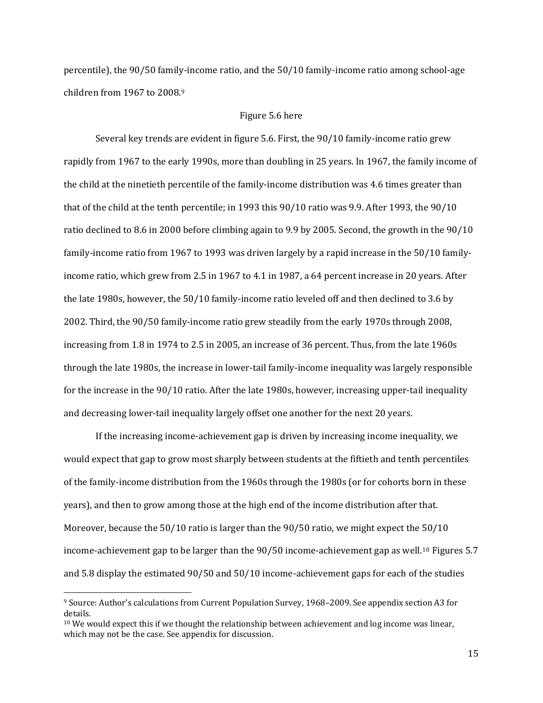percentile), the 90/50 family‐income ratio, and the 50/10 family‐income ratio among school‐age children from 1967 to 2008.[9](#page-15-0)

#### Figure 5.6 here

Several key trends are evident in figure 5.6. First, the 90/10 family-income ratio grew rapidly from 1967 to the early 1990s, more than doubling in 25 years. In 1967, the family income of the child at the ninetieth percentile of the family‐income distribution was 4.6 times greater than that of the child at the tenth percentile; in 1993 this 90/10 ratio was 9.9. After 1993, the 90/10 ratio declined to 8.6 in 2000 before climbing again to 9.9 by 2005. Second, the growth in the 90/10 family-income ratio from 1967 to 1993 was driven largely by a rapid increase in the 50/10 familyincome ratio, which grew from 2.5 in 1967 to 4.1 in 1987, a 64 percent increase in 20 years. After the late 1980s, however, the 50/10 family‐income ratio leveled off and then declined to 3.6 by 2002. Third, the 90/50 family‐income ratio grew steadily from the early 1970s through 2008, increasing from 1.8 in 1974 to 2.5 in 2005, an increase of 36 percent. Thus, from the late 1960s through the late 1980s, the increase in lower‐tail family‐income inequality was largely responsible for the increase in the 90/10 ratio. After the late 1980s, however, increasing upper-tail inequality and decreasing lower-tail inequality largely offset one another for the next 20 years.

If the increasing income‐achievement gap is driven by increasing income inequality, we would expect that gap to grow most sharply between students at the fiftieth and tenth percentiles of the family‐income distribution from the 1960s through the 1980s (or for cohorts born in these years), and then to grow among those at the high end of the income distribution after that. Moreover, because the 50/10 ratio is larger than the 90/50 ratio, we might expect the 50/10 income‐achievement gap to be larger than the 90/50 income‐achievement gap as well.[10](#page-15-1) Figures 5.7 and 5.8 display the estimated 90/50 and 50/10 income-achievement gaps for each of the studies

<span id="page-15-0"></span><sup>9</sup> Source: Author's calculations from Current Population Survey, 1968–2009. See appendix section A3 for details.

<span id="page-15-1"></span> $10$  We would expect this if we thought the relationship between achievement and log income was linear, which may not be the case. See appendix for discussion.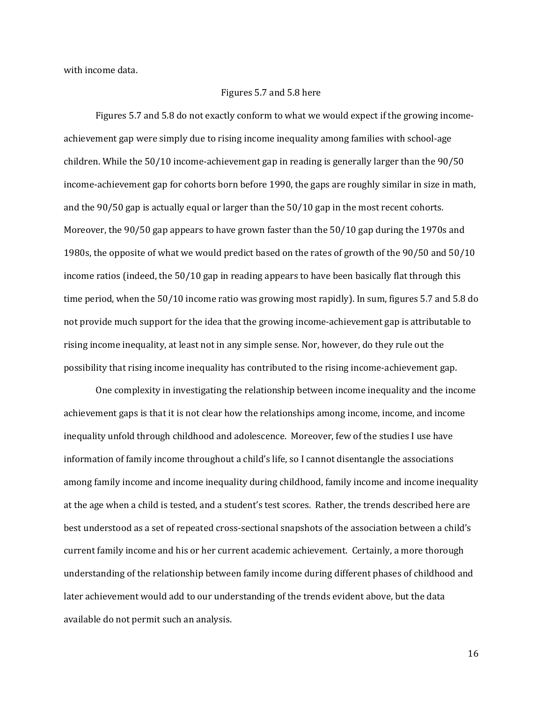with income data.

#### Figures 5.7 and 5.8 here

Figures 5.7 and 5.8 do not exactly conform to what we would expect if the growing income‐ achievement gap were simply due to rising income inequality among families with school‐age children. While the 50/10 income‐achievement gap in reading is generally larger than the 90/50 income‐achievement gap for cohorts born before 1990, the gaps are roughly similar in size in math, and the 90/50 gap is actually equal or larger than the 50/10 gap in the most recent cohorts. Moreover, the 90/50 gap appears to have grown faster than the 50/10 gap during the 1970s and 1980s, the opposite of what we would predict based on the rates of growth of the 90/50 and 50/10 income ratios (indeed, the 50/10 gap in reading appears to have been basically flat through this time period, when the 50/10 income ratio was growing most rapidly). In sum, figures 5.7 and 5.8 do not provide much support for the idea that the growing income‐achievement gap is attributable to rising income inequality, at least not in any simple sense. Nor, however, do they rule out the possibility that rising income inequality has contributed to the rising income‐achievement gap.

One complexity in investigating the relationship between income inequality and the income achievement gaps is that it is not clear how the relationships among income, income, and income inequality unfold through childhood and adolescence. Moreover, few of the studies I use have information of family income throughout a child's life, so I cannot disentangle the associations among family income and income inequality during childhood, family income and income inequality at the age when a child is tested, and a student's test scores. Rather, the trends described here are best understood as a set of repeated cross-sectional snapshots of the association between a child's current family income and his or her current academic achievement. Certainly, a more thorough understanding of the relationship between family income during different phases of childhood and later achievement would add to our understanding of the trends evident above, but the data available do not permit such an analysis.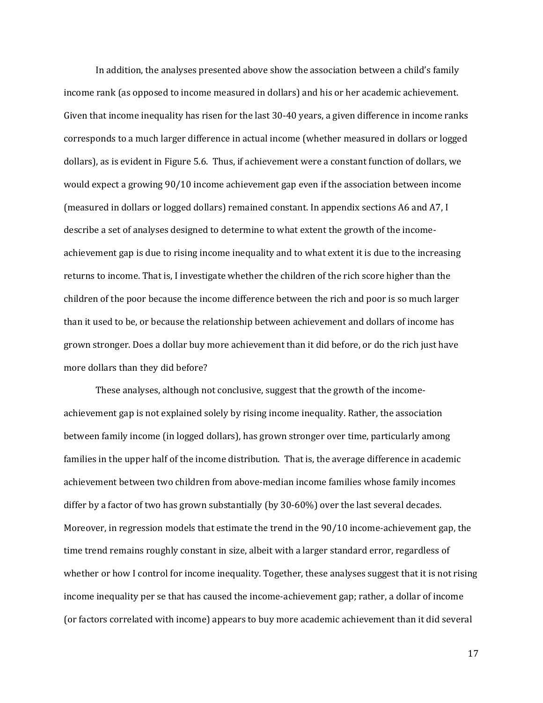In addition, the analyses presented above show the association between a child's family income rank (as opposed to income measured in dollars) and his or her academic achievement. Given that income inequality has risen for the last 30‐40 years, a given difference in income ranks corresponds to a much larger difference in actual income (whether measured in dollars or logged dollars), as is evident in Figure 5.6. Thus, if achievement were a constant function of dollars, we would expect a growing 90/10 income achievement gap even if the association between income (measured in dollars or logged dollars) remained constant. In appendix sections A6 and A7, I describe a set of analyses designed to determine to what extent the growth of the income‐ achievement gap is due to rising income inequality and to what extent it is due to the increasing returns to income. That is, I investigate whether the children of the rich score higher than the children of the poor because the income difference between the rich and poor is so much larger than it used to be, or because the relationship between achievement and dollars of income has grown stronger. Does a dollar buy more achievement than it did before, or do the rich just have more dollars than they did before?

These analyses, although not conclusive, suggest that the growth of the income‐ achievement gap is not explained solely by rising income inequality. Rather, the association between family income (in logged dollars), has grown stronger over time, particularly among families in the upper half of the income distribution. That is, the average difference in academic achievement between two children from above‐median income families whose family incomes differ by a factor of two has grown substantially (by 30‐60%) over the last several decades. Moreover, in regression models that estimate the trend in the 90/10 income-achievement gap, the time trend remains roughly constant in size, albeit with a larger standard error, regardless of whether or how I control for income inequality. Together, these analyses suggest that it is not rising income inequality per se that has caused the income‐achievement gap; rather, a dollar of income (or factors correlated with income) appears to buy more academic achievement than it did several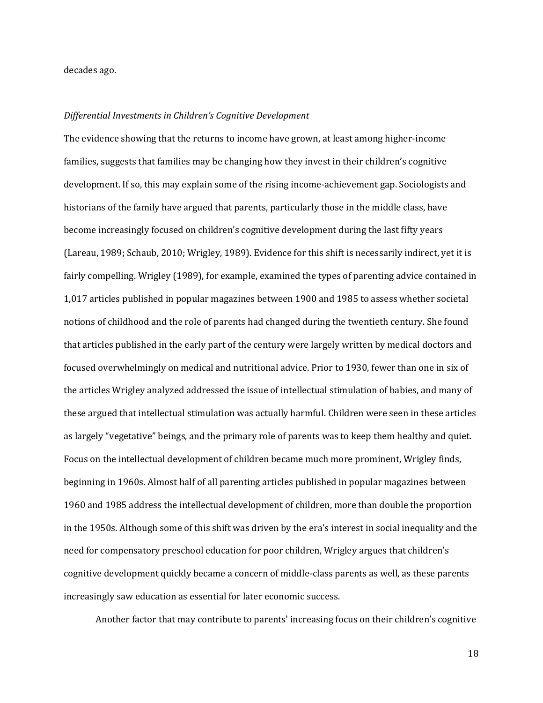decades ago.

#### *Differential Investments in Children's Cognitive Development*

The evidence showing that the returns to income have grown, at least among higher-income families, suggests that families may be changing how they invest in their children's cognitive development. If so, this may explain some of the rising income‐achievement gap. Sociologists and historians of the family have argued that parents, particularly those in the middle class, have become increasingly focused on children's cognitive development during the last fifty years (Lareau, 1989; Schaub, 2010; Wrigley, 1989). Evidence for this shift is necessarily indirect, yet it is fairly compelling. Wrigley (1989), for example, examined the types of parenting advice contained in 1,017 articles published in popular magazines between 1900 and 1985 to assess whether societal notions of childhood and the role of parents had changed during the twentieth century. She found that articles published in the early part of the century were largely written by medical doctors and focused overwhelmingly on medical and nutritional advice. Prior to 1930, fewer than one in six of the articles Wrigley analyzed addressed the issue of intellectual stimulation of babies, and many of these argued that intellectual stimulation was actually harmful. Children were seen in these articles as largely "vegetative" beings, and the primary role of parents was to keep them healthy and quiet. Focus on the intellectual development of children became much more prominent, Wrigley finds, beginning in 1960s. Almost half of all parenting articles published in popular magazines between 1960 and 1985 address the intellectual development of children, more than double the proportion in the 1950s. Although some of this shift was driven by the era's interest in social inequality and the need for compensatory preschool education for poor children, Wrigley argues that children's cognitive development quickly became a concern of middle‐class parents as well, as these parents increasingly saw education as essential for later economic success.

Another factor that may contribute to parents' increasing focus on their children's cognitive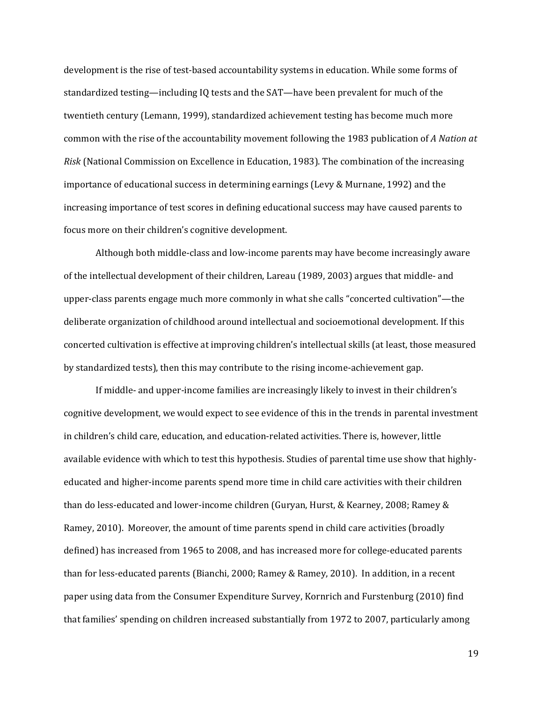development is the rise of test‐based accountability systems in education. While some forms of standardized testing—including IQ tests and the SAT—have been prevalent for much of the twentieth century (Lemann, 1999), standardized achievement testing has become much more common with the rise of the accountability movement following the 1983 publication of *A Nation at Risk* (National Commission on Excellence in Education, 1983). The combination of the increasing importance of educational success in determining earnings (Levy & Murnane, 1992) and the increasing importance of test scores in defining educational success may have caused parents to focus more on their children's cognitive development.

Although both middle‐class and low‐income parents may have become increasingly aware of the intellectual development of their children, Lareau (1989, 2003) argues that middle‐ and upper‐class parents engage much more commonly in what she calls "concerted cultivation"—the deliberate organization of childhood around intellectual and socioemotional development. If this concerted cultivation is effective at improving children's intellectual skills (at least, those measured by standardized tests), then this may contribute to the rising income‐achievement gap.

If middle‐ and upper‐income families are increasingly likely to invest in their children's cognitive development, we would expect to see evidence of this in the trends in parental investment in children's child care, education, and education-related activities. There is, however, little available evidence with which to test this hypothesis. Studies of parental time use show that highlyeducated and higher‐income parents spend more time in child care activities with their children than do less-educated and lower-income children (Guryan, Hurst, & Kearney, 2008; Ramey & Ramey, 2010). Moreover, the amount of time parents spend in child care activities (broadly defined) has increased from 1965 to 2008, and has increased more for college-educated parents than for less‐educated parents (Bianchi, 2000; Ramey & Ramey, 2010). In addition, in a recent paper using data from the Consumer Expenditure Survey, Kornrich and Furstenburg (2010) find that families' spending on children increased substantially from 1972 to 2007, particularly among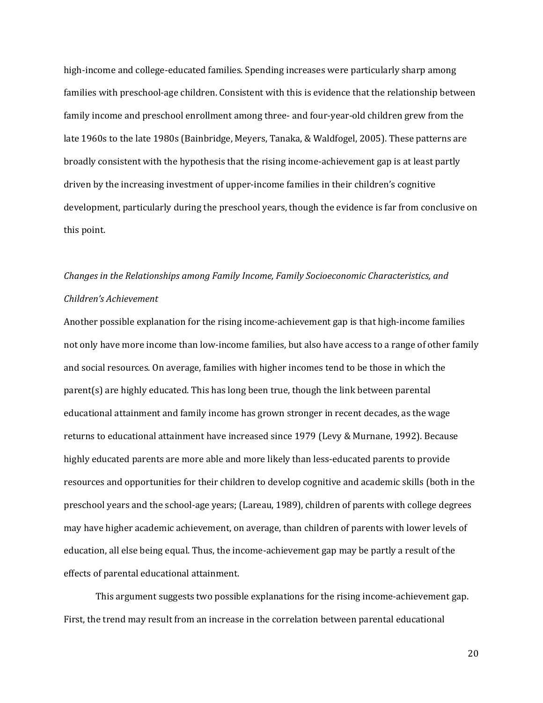high-income and college-educated families. Spending increases were particularly sharp among families with preschool-age children. Consistent with this is evidence that the relationship between family income and preschool enrollment among three‐ and four‐year‐old children grew from the late 1960s to the late 1980s (Bainbridge, Meyers, Tanaka, & Waldfogel, 2005). These patterns are broadly consistent with the hypothesis that the rising income‐achievement gap is at least partly driven by the increasing investment of upper‐income families in their children's cognitive development, particularly during the preschool years, though the evidence is far from conclusive on this point.

# *Changes in the Relationships among Family Income, Family Socioeconomic Characteristics, and Children's Achievement*

Another possible explanation for the rising income‐achievement gap is that high‐income families not only have more income than low-income families, but also have access to a range of other family and social resources. On average, families with higher incomes tend to be those in which the parent(s) are highly educated. This has long been true, though the link between parental educational attainment and family income has grown stronger in recent decades, as the wage returns to educational attainment have increased since 1979 (Levy & Murnane, 1992). Because highly educated parents are more able and more likely than less-educated parents to provide resources and opportunities for their children to develop cognitive and academic skills (both in the preschool years and the school‐age years; (Lareau, 1989), children of parents with college degrees may have higher academic achievement, on average, than children of parents with lower levels of education, all else being equal. Thus, the income‐achievement gap may be partly a result of the effects of parental educational attainment.

This argument suggests two possible explanations for the rising income‐achievement gap. First, the trend may result from an increase in the correlation between parental educational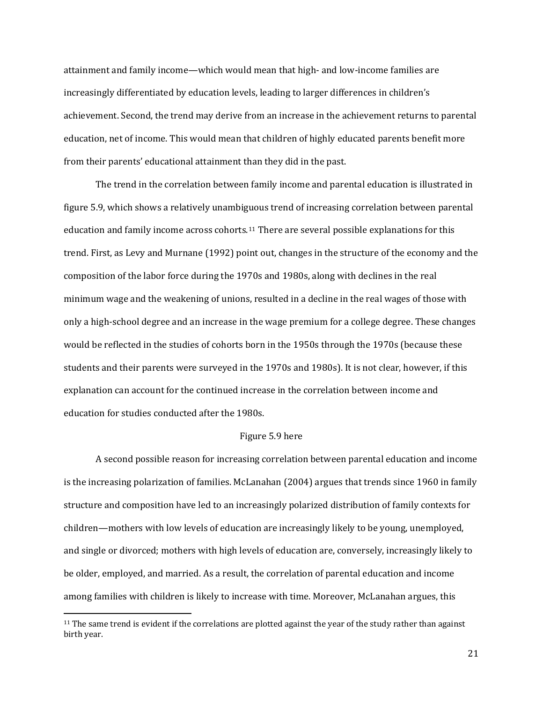attainment and family income—which would mean that high‐ and low‐income families are increasingly differentiated by education levels, leading to larger differences in children's achievement. Second, the trend may derive from an increase in the achievement returns to parental education, net of income. This would mean that children of highly educated parents benefit more from their parents' educational attainment than they did in the past.

The trend in the correlation between family income and parental education is illustrated in figure 5.9, which shows a relatively unambiguous trend of increasing correlation between parental education and family income across cohorts.[11](#page-21-0) There are several possible explanations for this trend. First, as Levy and Murnane (1992) point out, changes in the structure of the economy and the composition of the labor force during the 1970s and 1980s, along with declines in the real minimum wage and the weakening of unions, resulted in a decline in the real wages of those with only a high‐school degree and an increase in the wage premium for a college degree. These changes would be reflected in the studies of cohorts born in the 1950s through the 1970s (because these students and their parents were surveyed in the 1970s and 1980s). It is not clear, however, if this explanation can account for the continued increase in the correlation between income and education for studies conducted after the 1980s.

#### Figure 5.9 here

A second possible reason for increasing correlation between parental education and income is the increasing polarization of families. McLanahan (2004) argues that trends since 1960 in family structure and composition have led to an increasingly polarized distribution of family contexts for children—mothers with low levels of education are increasingly likely to be young, unemployed, and single or divorced; mothers with high levels of education are, conversely, increasingly likely to be older, employed, and married. As a result, the correlation of parental education and income among families with children is likely to increase with time. Moreover, McLanahan argues, this

<span id="page-21-0"></span> $11$  The same trend is evident if the correlations are plotted against the year of the study rather than against birth year.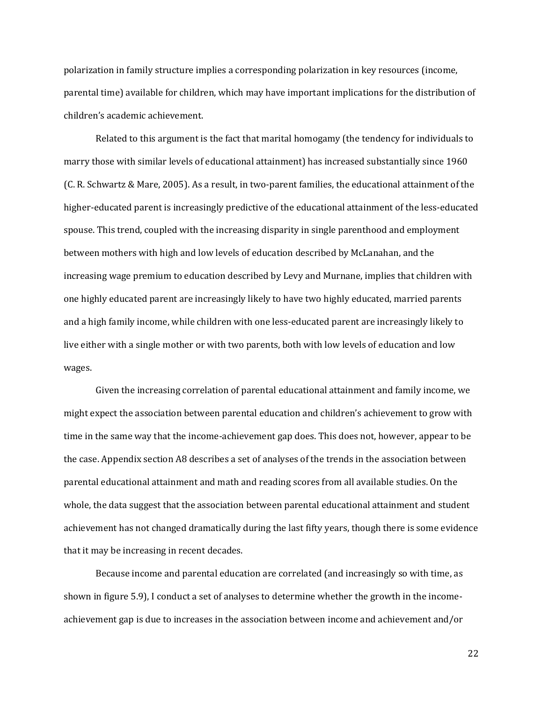polarization in family structure implies a corresponding polarization in key resources (income, parental time) available for children, which may have important implications for the distribution of children's academic achievement.

 Related to this argument is the fact that marital homogamy (the tendency for individuals to marry those with similar levels of educational attainment) has increased substantially since 1960 (C. R. Schwartz & Mare, 2005). As a result, in two‐parent families, the educational attainment of the higher-educated parent is increasingly predictive of the educational attainment of the less-educated spouse. This trend, coupled with the increasing disparity in single parenthood and employment between mothers with high and low levels of education described by McLanahan, and the increasing wage premium to education described by Levy and Murnane, implies that children with one highly educated parent are increasingly likely to have two highly educated, married parents and a high family income, while children with one less-educated parent are increasingly likely to live either with a single mother or with two parents, both with low levels of education and low wages.

 Given the increasing correlation of parental educational attainment and family income, we might expect the association between parental education and children's achievement to grow with time in the same way that the income‐achievement gap does. This does not, however, appear to be the case. Appendix section A8 describes a set of analyses of the trends in the association between parental educational attainment and math and reading scores from all available studies. On the whole, the data suggest that the association between parental educational attainment and student achievement has not changed dramatically during the last fifty years, though there is some evidence that it may be increasing in recent decades.

 Because income and parental education are correlated (and increasingly so with time, as shown in figure 5.9), I conduct a set of analyses to determine whether the growth in the income‐ achievement gap is due to increases in the association between income and achievement and/or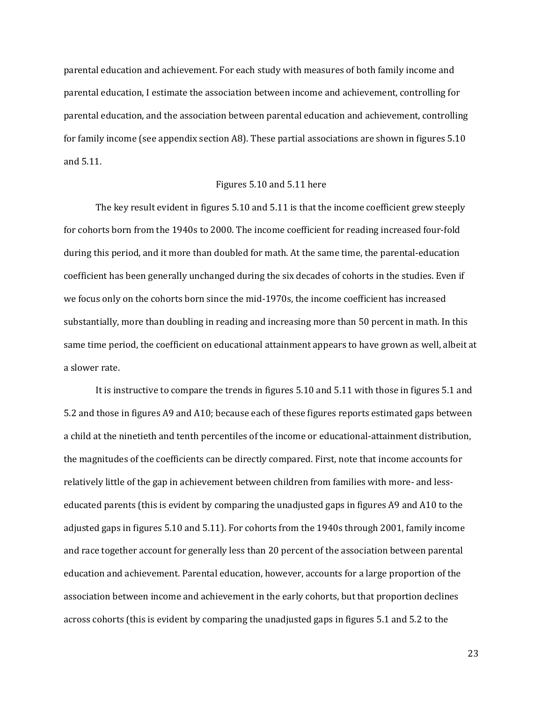parental education and achievement. For each study with measures of both family income and parental education, I estimate the association between income and achievement, controlling for parental education, and the association between parental education and achievement, controlling for family income (see appendix section A8). These partial associations are shown in figures 5.10 and 5.11.

### Figures 5.10 and 5.11 here

 The key result evident in figures 5.10 and 5.11 is that the income coefficient grew steeply for cohorts born from the 1940s to 2000. The income coefficient for reading increased four‐fold during this period, and it more than doubled for math. At the same time, the parental‐education coefficient has been generally unchanged during the six decades of cohorts in the studies. Even if we focus only on the cohorts born since the mid‐1970s, the income coefficient has increased substantially, more than doubling in reading and increasing more than 50 percent in math. In this same time period, the coefficient on educational attainment appears to have grown as well, albeit at a slower rate.

 It is instructive to compare the trends in figures 5.10 and 5.11 with those in figures 5.1 and 5.2 and those in figures A9 and A10; because each of these figures reports estimated gaps between a child at the ninetieth and tenth percentiles of the income or educational‐attainment distribution, the magnitudes of the coefficients can be directly compared. First, note that income accounts for relatively little of the gap in achievement between children from families with more- and lesseducated parents (this is evident by comparing the unadjusted gaps in figures A9 and A10 to the adjusted gaps in figures 5.10 and 5.11). For cohorts from the 1940s through 2001, family income and race together account for generally less than 20 percent of the association between parental education and achievement. Parental education, however, accounts for a large proportion of the association between income and achievement in the early cohorts, but that proportion declines across cohorts (this is evident by comparing the unadjusted gaps in figures 5.1 and 5.2 to the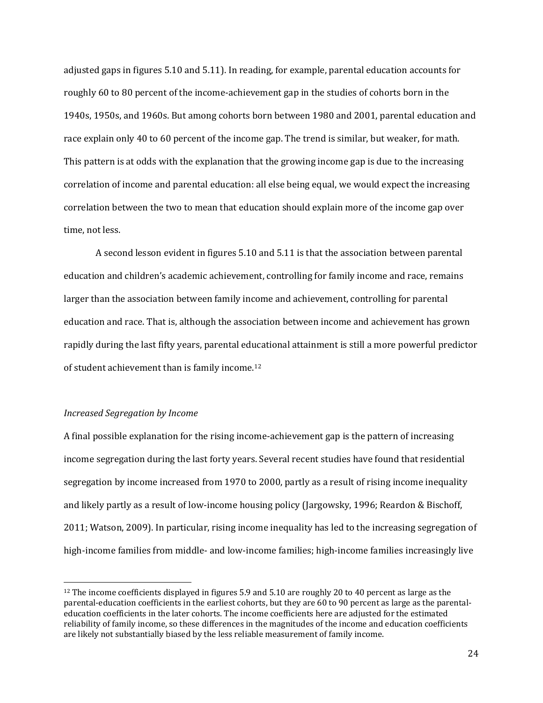adjusted gaps in figures 5.10 and 5.11). In reading, for example, parental education accounts for roughly 60 to 80 percent of the income‐achievement gap in the studies of cohorts born in the 1940s, 1950s, and 1960s. But among cohorts born between 1980 and 2001, parental education and race explain only 40 to 60 percent of the income gap. The trend is similar, but weaker, for math. This pattern is at odds with the explanation that the growing income gap is due to the increasing correlation of income and parental education: all else being equal, we would expect the increasing correlation between the two to mean that education should explain more of the income gap over time, not less.

 A second lesson evident in figures 5.10 and 5.11 is that the association between parental education and children's academic achievement, controlling for family income and race, remains larger than the association between family income and achievement, controlling for parental education and race. That is, although the association between income and achievement has grown rapidly during the last fifty years, parental educational attainment is still a more powerful predictor of student achievement than is family income.[12](#page-24-0)

# *Increased Segregation by Income*

A final possible explanation for the rising income‐achievement gap is the pattern of increasing income segregation during the last forty years. Several recent studies have found that residential segregation by income increased from 1970 to 2000, partly as a result of rising income inequality and likely partly as a result of low‐income housing policy (Jargowsky, 1996; Reardon & Bischoff, 2011; Watson, 2009). In particular, rising income inequality has led to the increasing segregation of high-income families from middle- and low-income families; high-income families increasingly live

<span id="page-24-0"></span><sup>&</sup>lt;sup>12</sup> The income coefficients displayed in figures 5.9 and 5.10 are roughly 20 to 40 percent as large as the parental‐education coefficients in the earliest cohorts, but they are 60 to 90 percent as large as the parental‐ education coefficients in the later cohorts. The income coefficients here are adjusted for the estimated reliability of family income, so these differences in the magnitudes of the income and education coefficients are likely not substantially biased by the less reliable measurement of family income.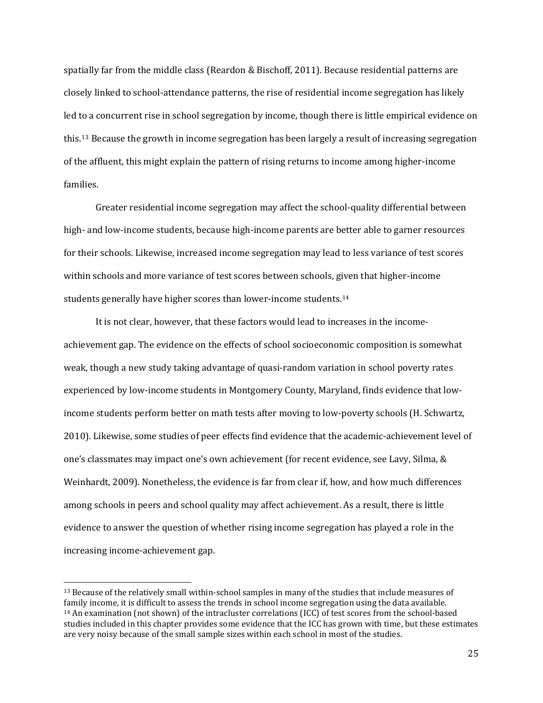spatially far from the middle class (Reardon & Bischoff, 2011). Because residential patterns are closely linked to school‐attendance patterns, the rise of residential income segregation has likely led to a concurrent rise in school segregation by income, though there is little empirical evidence on this.[13](#page-25-0) Because the growth in income segregation has been largely a result of increasing segregation of the affluent, this might explain the pattern of rising returns to income among higher‐income families.

Greater residential income segregation may affect the school‐quality differential between high- and low-income students, because high-income parents are better able to garner resources for their schools. Likewise, increased income segregation may lead to less variance of test scores within schools and more variance of test scores between schools, given that higher-income students generally have higher scores than lower-income students.<sup>14</sup>

It is not clear, however, that these factors would lead to increases in the income‐ achievement gap. The evidence on the effects of school socioeconomic composition is somewhat weak, though a new study taking advantage of quasi‐random variation in school poverty rates experienced by low-income students in Montgomery County, Maryland, finds evidence that lowincome students perform better on math tests after moving to low-poverty schools (H. Schwartz, 2010). Likewise, some studies of peer effects find evidence that the academic‐achievement level of one's classmates may impact one's own achievement (for recent evidence, see Lavy, Silma, & Weinhardt, 2009). Nonetheless, the evidence is far from clear if, how, and how much differences among schools in peers and school quality may affect achievement. As a result, there is little evidence to answer the question of whether rising income segregation has played a role in the increasing income‐achievement gap.

<span id="page-25-0"></span><sup>&</sup>lt;sup>13</sup> Because of the relatively small within-school samples in many of the studies that include measures of family income, it is difficult to assess the trends in school income segregation using the data available. 14 An examination (not shown) of the intracluster correlations (ICC) of test scores from the school‐based studies included in this chapter provides some evidence that the ICC has grown with time, but these estimates are very noisy because of the small sample sizes within each school in most of the studies.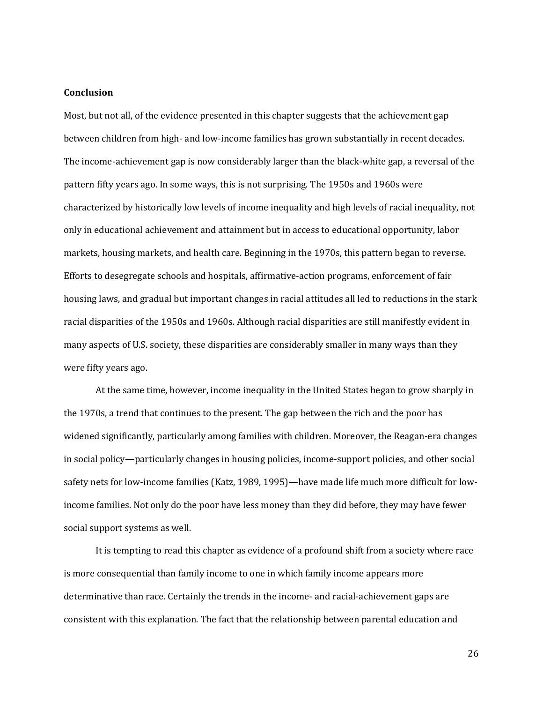# **Conclusion**

Most, but not all, of the evidence presented in this chapter suggests that the achievement gap between children from high- and low-income families has grown substantially in recent decades. The income-achievement gap is now considerably larger than the black-white gap, a reversal of the pattern fifty years ago. In some ways, this is not surprising. The 1950s and 1960s were characterized by historically low levels of income inequality and high levels of racial inequality, not only in educational achievement and attainment but in access to educational opportunity, labor markets, housing markets, and health care. Beginning in the 1970s, this pattern began to reverse. Efforts to desegregate schools and hospitals, affirmative‐action programs, enforcement of fair housing laws, and gradual but important changes in racial attitudes all led to reductions in the stark racial disparities of the 1950s and 1960s. Although racial disparities are still manifestly evident in many aspects of U.S. society, these disparities are considerably smaller in many ways than they were fifty years ago.

 At the same time, however, income inequality in the United States began to grow sharply in the 1970s, a trend that continues to the present. The gap between the rich and the poor has widened significantly, particularly among families with children. Moreover, the Reagan-era changes in social policy—particularly changes in housing policies, income‐support policies, and other social safety nets for low-income families (Katz, 1989, 1995)—have made life much more difficult for lowincome families. Not only do the poor have less money than they did before, they may have fewer social support systems as well.

It is tempting to read this chapter as evidence of a profound shift from a society where race is more consequential than family income to one in which family income appears more determinative than race. Certainly the trends in the income‐ and racial‐achievement gaps are consistent with this explanation. The fact that the relationship between parental education and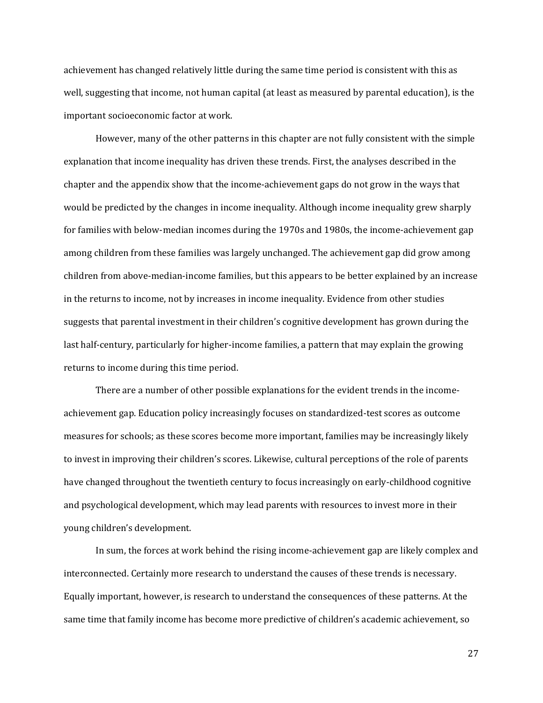achievement has changed relatively little during the same time period is consistent with this as well, suggesting that income, not human capital (at least as measured by parental education), is the important socioeconomic factor at work.

However, many of the other patterns in this chapter are not fully consistent with the simple explanation that income inequality has driven these trends. First, the analyses described in the chapter and the appendix show that the income‐achievement gaps do not grow in the ways that would be predicted by the changes in income inequality. Although income inequality grew sharply for families with below-median incomes during the 1970s and 1980s, the income-achievement gap among children from these families was largely unchanged. The achievement gap did grow among children from above‐median‐income families, but this appears to be better explained by an increase in the returns to income, not by increases in income inequality. Evidence from other studies suggests that parental investment in their children's cognitive development has grown during the last half-century, particularly for higher-income families, a pattern that may explain the growing returns to income during this time period.

There are a number of other possible explanations for the evident trends in the income‐ achievement gap. Education policy increasingly focuses on standardized‐test scores as outcome measures for schools; as these scores become more important, families may be increasingly likely to invest in improving their children's scores. Likewise, cultural perceptions of the role of parents have changed throughout the twentieth century to focus increasingly on early‐childhood cognitive and psychological development, which may lead parents with resources to invest more in their young children's development.

In sum, the forces at work behind the rising income‐achievement gap are likely complex and interconnected. Certainly more research to understand the causes of these trends is necessary. Equally important, however, is research to understand the consequences of these patterns. At the same time that family income has become more predictive of children's academic achievement, so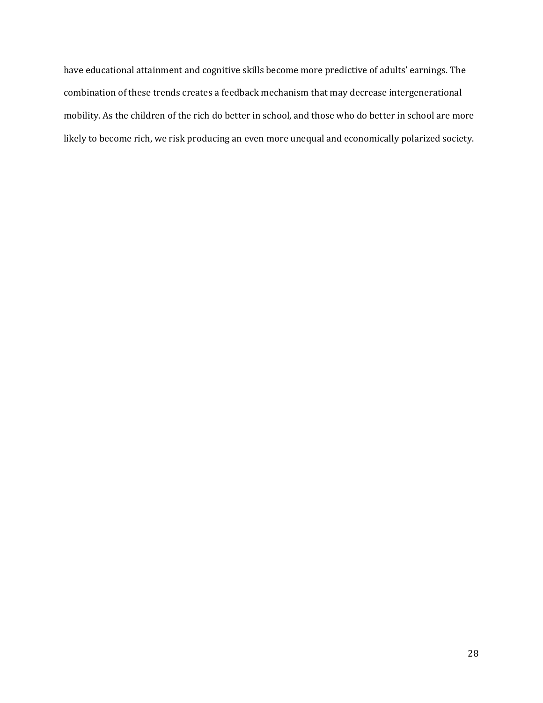have educational attainment and cognitive skills become more predictive of adults' earnings. The combination of these trends creates a feedback mechanism that may decrease intergenerational mobility. As the children of the rich do better in school, and those who do better in school are more likely to become rich, we risk producing an even more unequal and economically polarized society.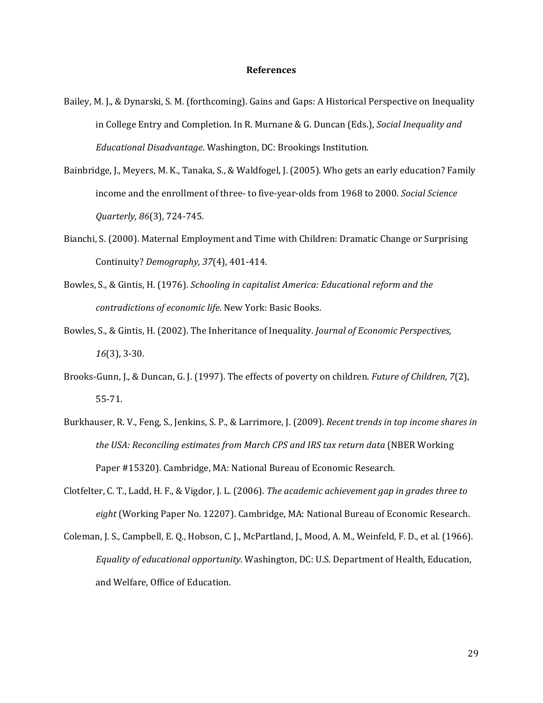#### **References**

- Bailey, M. J., & Dynarski, S. M. (forthcoming). Gains and Gaps: A Historical Perspective on Inequality in College Entry and Completion. In R. Murnane & G. Duncan (Eds.), *Social Inequality and Educational Disadvantage*. Washington, DC: Brookings Institution.
- Bainbridge, J., Meyers, M. K., Tanaka, S., & Waldfogel, J. (2005). Who gets an early education? Family income and the enrollment of three‐ to five‐year‐olds from 1968 to 2000. *Social Science Quarterly, 86*(3), 724‐745.
- Bianchi, S. (2000). Maternal Employment and Time with Children: Dramatic Change or Surprising Continuity? *Demography, 37*(4), 401‐414.
- Bowles, S., & Gintis, H. (1976). *Schooling in capitalist America: Educational reform and the contradictions of economic life*. New York: Basic Books.
- Bowles, S., & Gintis, H. (2002). The Inheritance of Inequality. *Journal of Economic Perspectives, 16*(3), 3‐30.
- Brooks‐Gunn, J., & Duncan, G. J. (1997). The effects of poverty on children. *Future of Children, 7*(2), 55‐71.
- Burkhauser, R. V., Feng, S., Jenkins, S. P., & Larrimore, J. (2009). *Recent trends in top income shares in the USA: Reconciling estimates from March CPS and IRS tax return data* (NBER Working Paper #15320). Cambridge, MA: National Bureau of Economic Research.
- Clotfelter, C. T., Ladd, H. F., & Vigdor, J. L. (2006). *The academic achievement gap in grades three to eight* (Working Paper No. 12207). Cambridge, MA: National Bureau of Economic Research.
- Coleman, J. S., Campbell, E. Q., Hobson, C. J., McPartland, J., Mood, A. M., Weinfeld, F. D., et al. (1966). *Equality of educational opportunity*. Washington, DC: U.S. Department of Health, Education, and Welfare, Office of Education.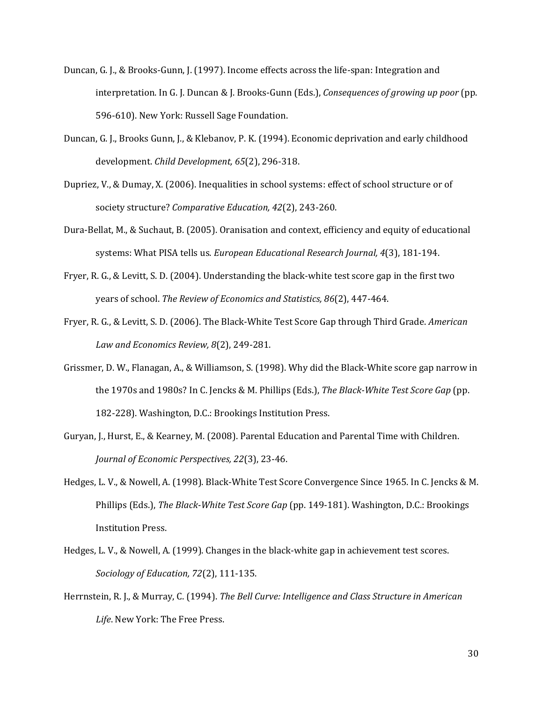- Duncan, G. J., & Brooks‐Gunn, J. (1997). Income effects across the life‐span: Integration and interpretation. In G. J. Duncan & J. Brooks‐Gunn (Eds.), *Consequences of growing up poor* (pp. 596‐610). New York: Russell Sage Foundation.
- Duncan, G. J., Brooks Gunn, J., & Klebanov, P. K. (1994). Economic deprivation and early childhood development. *Child Development, 65*(2), 296‐318.
- Dupriez, V., & Dumay, X. (2006). Inequalities in school systems: effect of school structure or of society structure? *Comparative Education, 42*(2), 243‐260.
- Dura‐Bellat, M., & Suchaut, B. (2005). Oranisation and context, efficiency and equity of educational systems: What PISA tells us. *European Educational Research Journal, 4*(3), 181‐194.
- Fryer, R. G., & Levitt, S. D. (2004). Understanding the black‐white test score gap in the first two years of school. *The Review of Economics and Statistics, 86*(2), 447‐464.
- Fryer, R. G., & Levitt, S. D. (2006). The Black‐White Test Score Gap through Third Grade. *American Law and Economics Review, 8*(2), 249‐281.
- Grissmer, D. W., Flanagan, A., & Williamson, S. (1998). Why did the Black‐White score gap narrow in the 1970s and 1980s? In C. Jencks & M. Phillips (Eds.), *The BlackWhite Test Score Gap* (pp. 182‐228). Washington, D.C.: Brookings Institution Press.
- Guryan, J., Hurst, E., & Kearney, M. (2008). Parental Education and Parental Time with Children. *Journal of Economic Perspectives, 22*(3), 23‐46.
- Hedges, L. V., & Nowell, A. (1998). Black‐White Test Score Convergence Since 1965. In C. Jencks & M. Phillips (Eds.), *The BlackWhite Test Score Gap* (pp. 149‐181). Washington, D.C.: Brookings Institution Press.
- Hedges, L. V., & Nowell, A. (1999). Changes in the black-white gap in achievement test scores. *Sociology of Education, 72*(2), 111‐135.
- Herrnstein, R. J., & Murray, C. (1994). *The Bell Curve: Intelligence and Class Structure in American Life*. New York: The Free Press.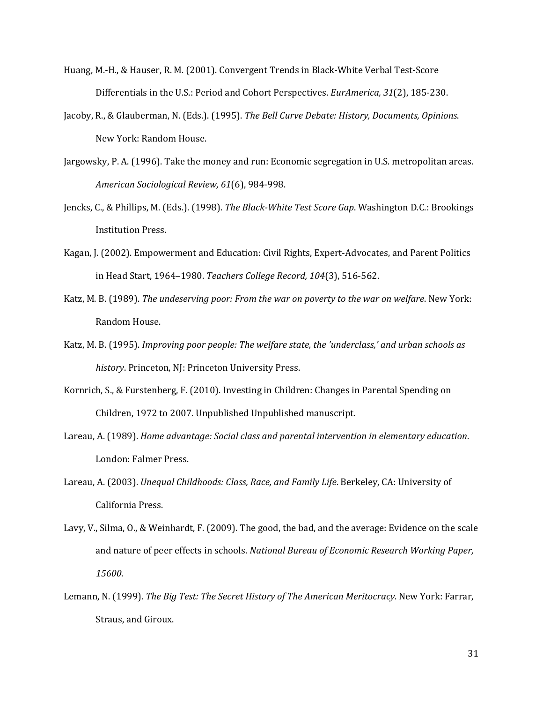- Huang, M.‐H., & Hauser, R. M. (2001). Convergent Trends in Black‐White Verbal Test‐Score Differentials in the U.S.: Period and Cohort Perspectives. *EurAmerica, 31*(2), 185‐230.
- Jacoby, R., & Glauberman, N. (Eds.). (1995). *The Bell Curve Debate: History, Documents, Opinions*. New York: Random House.
- Jargowsky, P. A. (1996). Take the money and run: Economic segregation in U.S. metropolitan areas. *American Sociological Review, 61*(6), 984‐998.
- Jencks, C., & Phillips, M. (Eds.). (1998). *The BlackWhite Test Score Gap*. Washington D.C.: Brookings Institution Press.
- Kagan, J. (2002). Empowerment and Education: Civil Rights, Expert‐Advocates, and Parent Politics in Head Start, 1964–1980. *Teachers College Record, 104*(3), 516‐562.
- Katz, M. B. (1989). *The undeserving poor: From the war on poverty to the war on welfare*. New York: Random House.
- Katz, M. B. (1995). *Improving poor people: The welfare state, the 'underclass,' and urban schools as history*. Princeton, NJ: Princeton University Press.
- Kornrich, S., & Furstenberg, F. (2010). Investing in Children: Changes in Parental Spending on Children, 1972 to 2007. Unpublished Unpublished manuscript.
- Lareau, A. (1989). *Home advantage: Social class and parental intervention in elementary education*. London: Falmer Press.
- Lareau, A. (2003). *Unequal Childhoods: Class, Race, and Family Life*. Berkeley, CA: University of California Press.
- Lavy, V., Silma, O., & Weinhardt, F. (2009). The good, the bad, and the average: Evidence on the scale and nature of peer effects in schools. *National Bureau of Economic Research Working Paper, 15600*.
- Lemann, N. (1999). *The Big Test: The Secret History of The American Meritocracy*. New York: Farrar, Straus, and Giroux.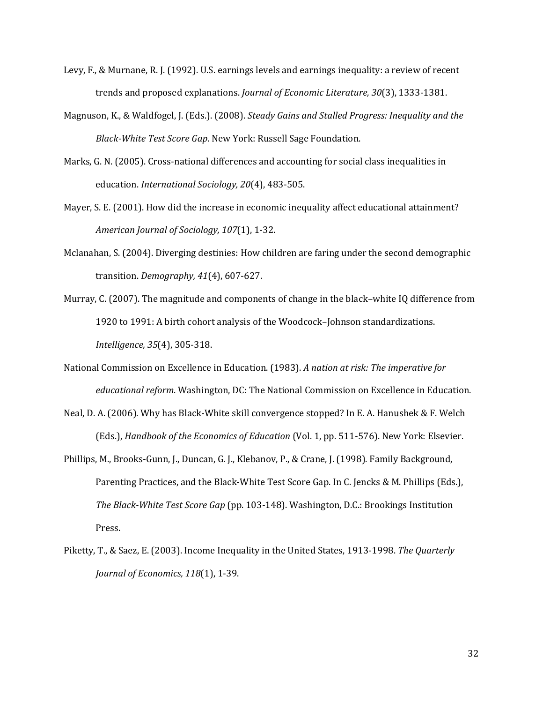- Levy, F., & Murnane, R. J. (1992). U.S. earnings levels and earnings inequality: a review of recent trends and proposed explanations. *Journal of Economic Literature, 30*(3), 1333‐1381.
- Magnuson, K., & Waldfogel, J. (Eds.). (2008). *Steady Gains and Stalled Progress: Inequality and the BlackWhite Test Score Gap*. New York: Russell Sage Foundation.
- Marks, G. N. (2005). Cross-national differences and accounting for social class inequalities in education. *International Sociology, 20*(4), 483‐505.
- Mayer, S. E. (2001). How did the increase in economic inequality affect educational attainment? *American Journal of Sociology, 107*(1), 1‐32.
- Mclanahan, S. (2004). Diverging destinies: How children are faring under the second demographic transition. *Demography, 41*(4), 607‐627.
- Murray, C. (2007). The magnitude and components of change in the black–white IQ difference from 1920 to 1991: A birth cohort analysis of the Woodcock–Johnson standardizations. *Intelligence, 35*(4), 305‐318.
- National Commission on Excellence in Education. (1983). *A nation at risk: The imperative for educational reform*. Washington, DC: The National Commission on Excellence in Education.
- Neal, D. A. (2006). Why has Black‐White skill convergence stopped? In E. A. Hanushek & F. Welch (Eds.), *Handbook of the Economics of Education* (Vol. 1, pp. 511‐576). New York: Elsevier.
- Phillips, M., Brooks‐Gunn, J., Duncan, G. J., Klebanov, P., & Crane, J. (1998). Family Background, Parenting Practices, and the Black‐White Test Score Gap. In C. Jencks & M. Phillips (Eds.), *The BlackWhite Test Score Gap* (pp. 103‐148). Washington, D.C.: Brookings Institution Press.
- Piketty, T., & Saez, E. (2003). Income Inequality in the United States, 1913‐1998. *The Quarterly Journal of Economics, 118*(1), 1‐39.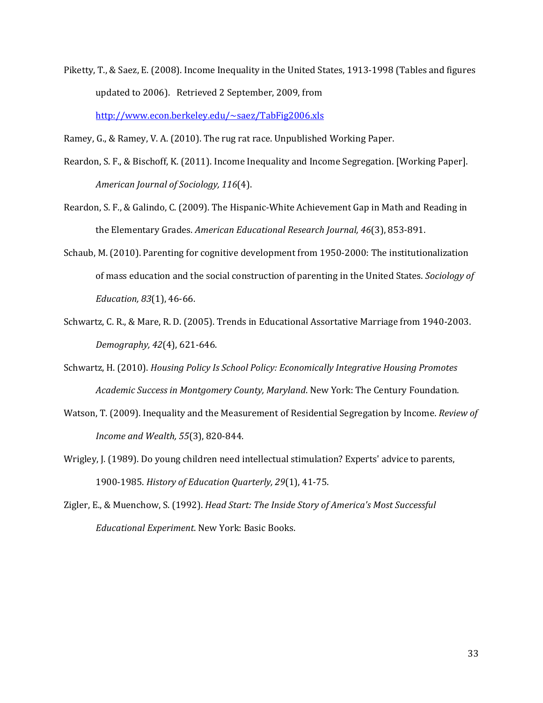Piketty, T., & Saez, E. (2008). Income Inequality in the United States, 1913‐1998 (Tables and figures updated to 2006). Retrieved 2 September, 2009, from http://www.econ.berkeley.edu/~saez/TabFig2006.xls

Ramey, G., & Ramey, V. A. (2010). The rug rat race. Unpublished Working Paper.

- Reardon, S. F., & Bischoff, K. (2011). Income Inequality and Income Segregation. [Working Paper]. *American Journal of Sociology, 116*(4).
- Reardon, S. F., & Galindo, C. (2009). The Hispanic‐White Achievement Gap in Math and Reading in the Elementary Grades. *American Educational Research Journal, 46*(3), 853‐891.
- Schaub, M. (2010). Parenting for cognitive development from 1950‐2000: The institutionalization of mass education and the social construction of parenting in the United States. *Sociology of Education, 83*(1), 46‐66.
- Schwartz, C. R., & Mare, R. D. (2005). Trends in Educational Assortative Marriage from 1940‐2003. *Demography, 42*(4), 621‐646.
- Schwartz, H. (2010). *Housing Policy Is School Policy: Economically Integrative Housing Promotes Academic Success in Montgomery County, Maryland*. New York: The Century Foundation.
- Watson, T. (2009). Inequality and the Measurement of Residential Segregation by Income. *Review of Income and Wealth, 55*(3), 820‐844.
- Wrigley, J. (1989). Do young children need intellectual stimulation? Experts' advice to parents, 1900‐1985. *History of Education Quarterly, 29*(1), 41‐75.
- Zigler, E., & Muenchow, S. (1992). *Head Start: The Inside Story of America's Most Successful Educational Experiment*. New York: Basic Books.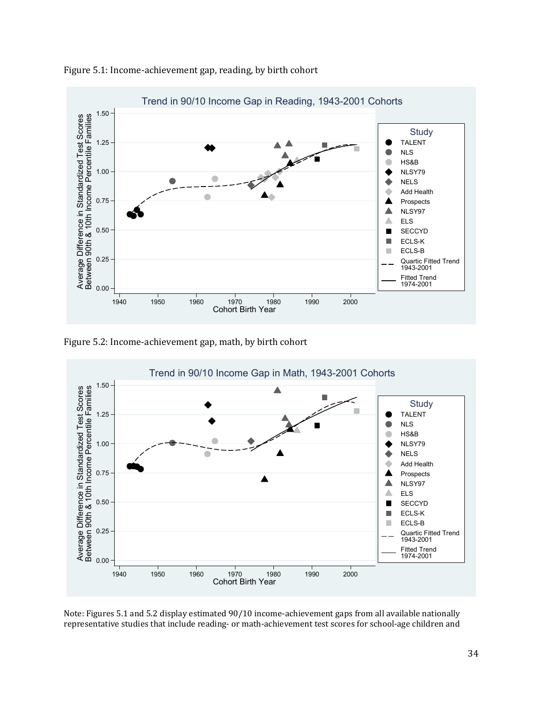

Figure 5.1: Income‐achievement gap, reading, by birth cohort

Figure 5.2: Income‐achievement gap, math, by birth cohort



Note: Figures 5.1 and 5.2 display estimated 90/10 income‐achievement gaps from all available nationally representative studies that include reading‐ or math‐achievement test scores for school‐age children and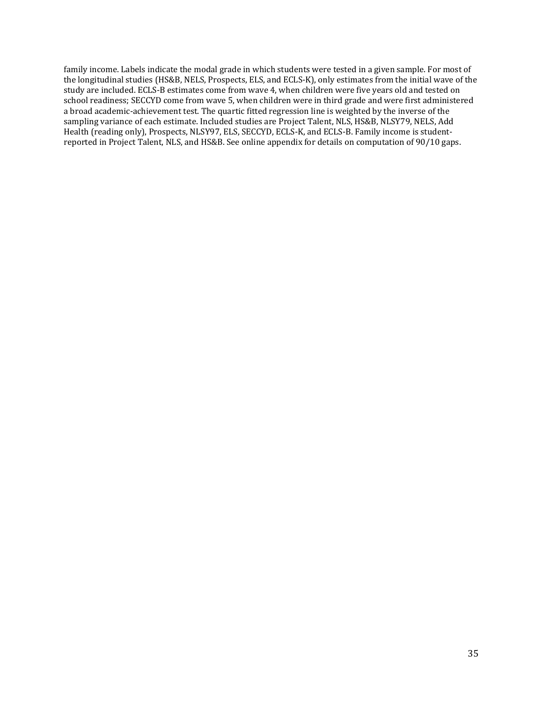family income. Labels indicate the modal grade in which students were tested in a given sample. For most of the longitudinal studies (HS&B, NELS, Prospects, ELS, and ECLS‐K), only estimates from the initial wave of the study are included. ECLS‐B estimates come from wave 4, when children were five years old and tested on school readiness; SECCYD come from wave 5, when children were in third grade and were first administered a broad academic‐achievement test. The quartic fitted regression line is weighted by the inverse of the sampling variance of each estimate. Included studies are Project Talent, NLS, HS&B, NLSY79, NELS, Add Health (reading only), Prospects, NLSY97, ELS, SECCYD, ECLS‐K, and ECLS‐B. Family income is student‐ reported in Project Talent, NLS, and HS&B. See online appendix for details on computation of 90/10 gaps.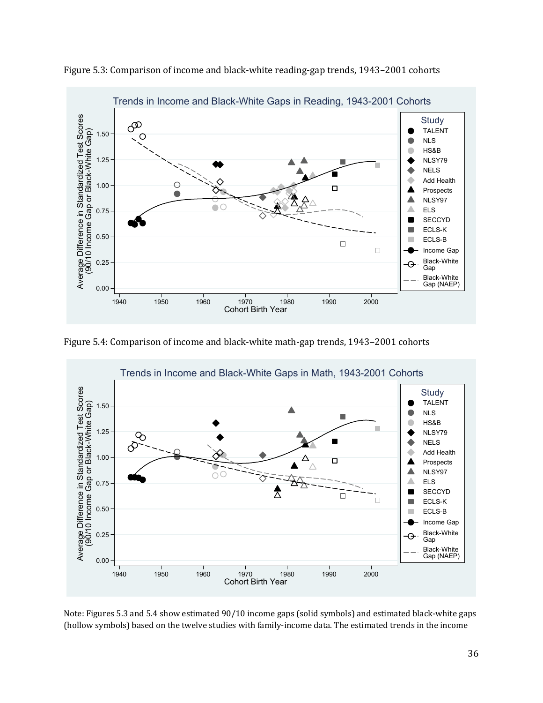

Figure 5.3: Comparison of income and black‐white reading‐gap trends, 1943–2001 cohorts

Figure 5.4: Comparison of income and black‐white math‐gap trends, 1943–2001 cohorts



Note: Figures 5.3 and 5.4 show estimated 90/10 income gaps (solid symbols) and estimated black-white gaps (hollow symbols) based on the twelve studies with family‐income data. The estimated trends in the income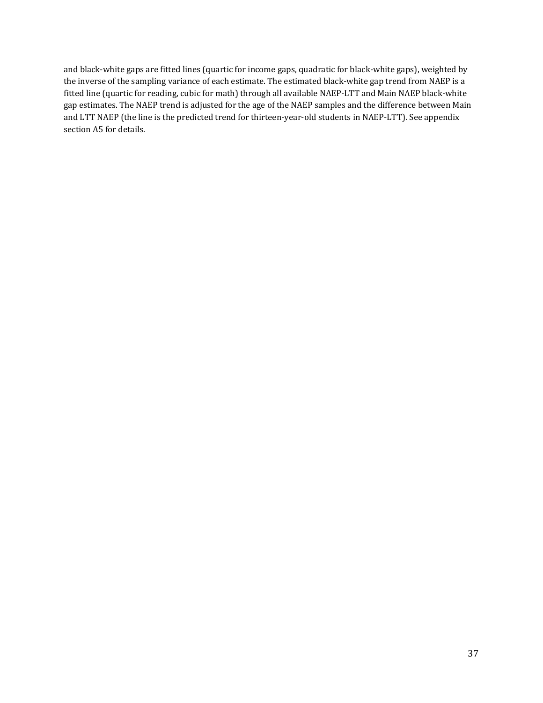and black‐white gaps are fitted lines (quartic for income gaps, quadratic for black‐white gaps), weighted by the inverse of the sampling variance of each estimate. The estimated black‐white gap trend from NAEP is a fitted line (quartic for reading, cubic for math) through all available NAEP‐LTT and Main NAEP black‐white gap estimates. The NAEP trend is adjusted for the age of the NAEP samples and the difference between Main and LTT NAEP (the line is the predicted trend for thirteen‐year‐old students in NAEP‐LTT). See appendix section A5 for details.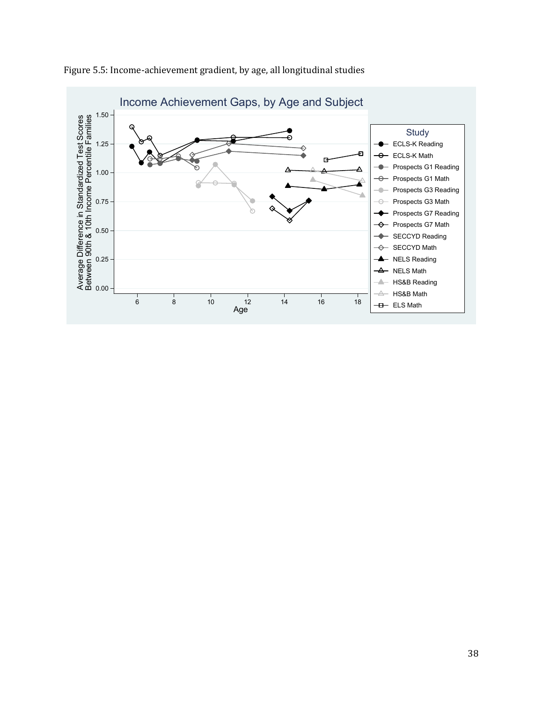

Figure 5.5: Income‐achievement gradient, by age, all longitudinal studies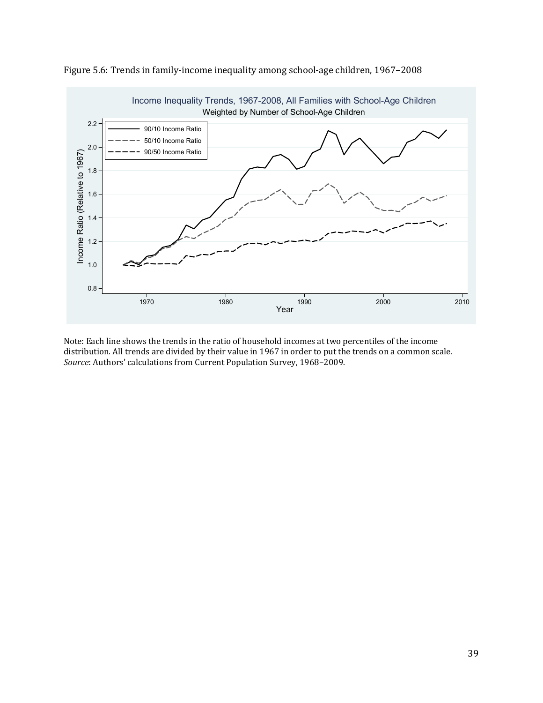

Figure 5.6: Trends in family‐income inequality among school‐age children, 1967–2008

Note: Each line shows the trends in the ratio of household incomes at two percentiles of the income distribution. All trends are divided by their value in 1967 in order to put the trends on a common scale. Source: Authors' calculations from Current Population Survey, 1968-2009.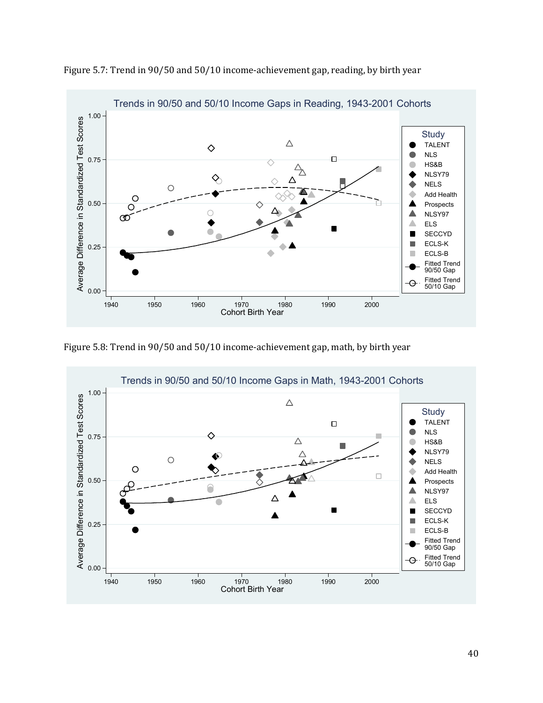

Figure 5.7: Trend in 90/50 and 50/10 income‐achievement gap, reading, by birth year

Figure 5.8: Trend in 90/50 and 50/10 income-achievement gap, math, by birth year

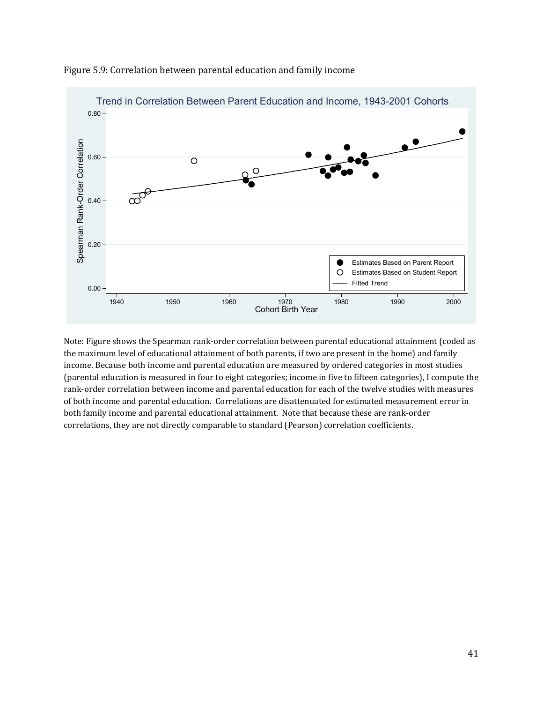

Figure 5.9: Correlation between parental education and family income

Note: Figure shows the Spearman rank‐order correlation between parental educational attainment (coded as the maximum level of educational attainment of both parents, if two are present in the home) and family income. Because both income and parental education are measured by ordered categories in most studies (parental education is measured in four to eight categories; income in five to fifteen categories), I compute the rank-order correlation between income and parental education for each of the twelve studies with measures of both income and parental education. Correlations are disattenuated for estimated measurement error in both family income and parental educational attainment. Note that because these are rank‐order correlations, they are not directly comparable to standard (Pearson) correlation coefficients.